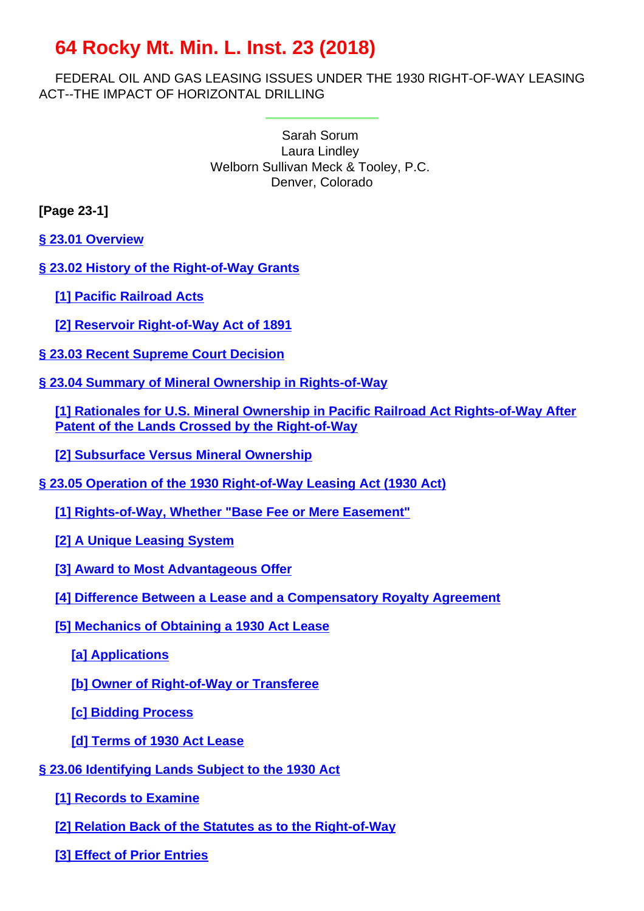# **64 Rocky Mt. Min. L. Inst. 23 (2018)**

FEDERAL OIL AND GAS LEASING ISSUES UNDER THE 1930 RIGHT-OF-WAY LEASING ACT--THE IMPACT OF HORIZONTAL DRILLING

> Sarah Sorum Laura Lindley Welborn Sullivan Meck & Tooley, P.C. Denver, Colorado

# **[Page 23-1]**

**§ 23.01 Overview**

- **§ 23.02 History of the Right-of-Way Grants**
	- **[1] Pacific Railroad Acts**
	- **[2] Reservoir Right-of-Way Act of 1891**
- **§ 23.03 Recent Supreme Court Decision**
- **§ 23.04 Summary of Mineral Ownership in Rights-of-Way**

**[1] Rationales for U.S. Mineral Ownership in Pacific Railroad Act Rights-of-Way After Patent of the Lands Crossed by the Right-of-Way**

**[2] Subsurface Versus Mineral Ownership**

- **§ 23.05 Operation of the 1930 Right-of-Way Leasing Act (1930 Act)**
	- **[1] Rights-of-Way, Whether "Base Fee or Mere Easement"**
	- **[2] A Unique Leasing System**
	- **[3] Award to Most Advantageous Offer**
	- **[4] Difference Between a Lease and a Compensatory Royalty Agreement**
	- **[5] Mechanics of Obtaining a 1930 Act Lease**
		- **[a] Applications**

**[b] Owner of Right-of-Way or Transferee**

**[c] Bidding Process**

- **[d] Terms of 1930 Act Lease**
- **§ 23.06 Identifying Lands Subject to the 1930 Act**
	- **[\[1\] Records to Examine](#page-17-0)**
	- **[2] Relation Back of the Statutes as to the Right-of-Way**
	- **[3] Effect of Prior Entries**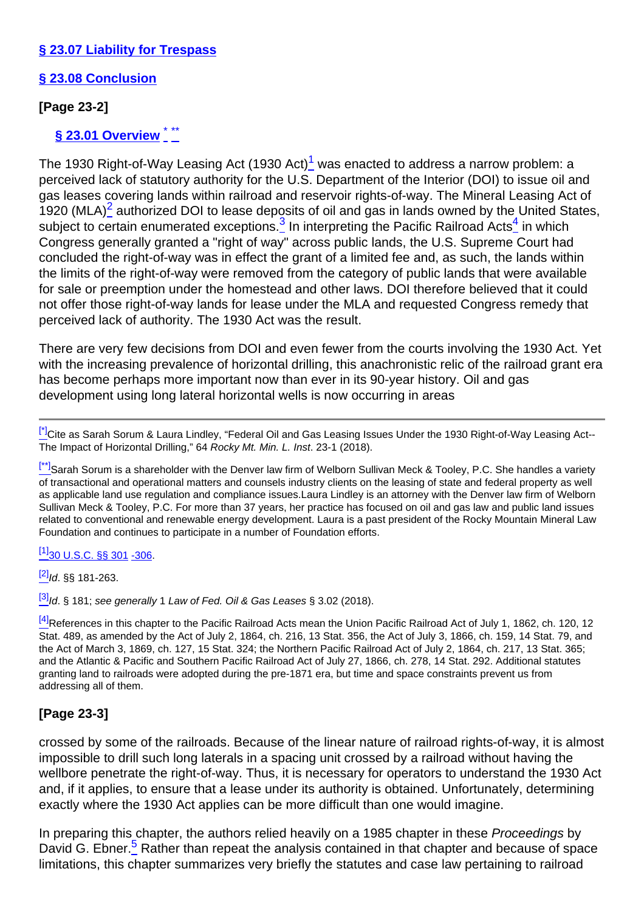### **§ 23.07 Liability for Trespass**

# **§ 23.08 Conclusion**

# <span id="page-1-0"></span>**[Page 23-2]**

# **§ 23.01 Overview** \* \*\*

<span id="page-1-3"></span><span id="page-1-2"></span><span id="page-1-1"></span>The 1930 Right-of-Way Leasing Act (1930 Act) $1/2$  was enacted to address a narrow problem: a perceived lack of statutory authority for the U.S. Department of the Interior (DOI) to issue oil and gas leases covering lands within railroad and reservoir rights-of-way. The Mineral Leasing Act of 1920 (MLA) ${}_{-}^{2}$  authorized DOI to lease deposits of oil and gas in lands owned by the United States, subject to certain enumerated exceptions.<sup>3</sup> In interpreting the Pacific Railroad Acts<sup>4</sup> in which Congress generally granted a "right of way" across public lands, the U.S. Supreme Court had concluded the right-of-way was in effect the grant of a limited fee and, as such, the lands within the limits of the right-of-way were removed from the category of public lands that were available for sale or preemption under the homestead and other laws. DOI therefore believed that it could not offer those right-of-way lands for lease under the MLA and requested Congress remedy that perceived lack of authority. The 1930 Act was the result.

There are very few decisions from DOI and even fewer from the courts involving the 1930 Act. Yet with the increasing prevalence of horizontal drilling, this anachronistic relic of the railroad grant era has become perhaps more important now than ever in its 90-year history. Oil and gas development using long lateral horizontal wells is now occurring in areas

[\[\\*\]](#page-1-0)Cite as Sarah Sorum & Laura Lindley. "Federal Oil and Gas Leasing Issues Under the 1930 Right-of-Way Leasing Act--The Impact of Horizontal Drilling," 64 Rocky Mt. Min. L. Inst. 23-1 (2018).

[\[\\*\\*\]](#page-1-0)Sarah Sorum is a shareholder with the Denver law firm of Welborn Sullivan Meck & Tooley, P.C. She handles a variety of transactional and operational matters and counsels industry clients on the leasing of state and federal property as well as applicable land use regulation and compliance issues.Laura Lindley is an attorney with the Denver law firm of Welborn Sullivan Meck & Tooley, P.C. For more than 37 years, her practice has focused on oil and gas law and public land issues related to conventional and renewable energy development. Laura is a past president of the Rocky Mountain Mineral Law Foundation and continues to participate in a number of Foundation efforts.

#### $[1]$ [30 U.S.C. §§ 301](http://links.casemakerlegal.com/federal/US/books/United_States_Code/browse?codesec=301amptitle=30ampci=45ampfn=Vol%2064%20Rocky%20Mt.%20Min.%20L.%20Inst.%20(2018)) [-306.](http://links.casemakerlegal.com/federal/US/books/United_States_Code/browse?codesec=306amptitle=30ampci=45ampfn=Vol%2064%20Rocky%20Mt.%20Min.%20L.%20Inst.%20(2018))

 $^{[2]}$  $^{[2]}$  $^{[2]}$ Id. §§ 181-263.

 $\frac{[3]}{[3]}$  $\frac{[3]}{[3]}$  $\frac{[3]}{[3]}$ Id. § 181; see generally 1 Law of Fed. Oil & Gas Leases § 3.02 (2018).

<sup>[\[4\]](#page-1-3)</sup>References in this chapter to the Pacific Railroad Acts mean the Union Pacific Railroad Act of July 1, 1862, ch. 120, 12 Stat. 489, as amended by the Act of July 2, 1864, ch. 216, 13 Stat. 356, the Act of July 3, 1866, ch. 159, 14 Stat. 79, and the Act of March 3, 1869, ch. 127, 15 Stat. 324; the Northern Pacific Railroad Act of July 2, 1864, ch. 217, 13 Stat. 365; and the Atlantic & Pacific and Southern Pacific Railroad Act of July 27, 1866, ch. 278, 14 Stat. 292. Additional statutes granting land to railroads were adopted during the pre-1871 era, but time and space constraints prevent us from addressing all of them.

# **[Page 23-3]**

crossed by some of the railroads. Because of the linear nature of railroad rights-of-way, it is almost impossible to drill such long laterals in a spacing unit crossed by a railroad without having the wellbore penetrate the right-of-way. Thus, it is necessary for operators to understand the 1930 Act and, if it applies, to ensure that a lease under its authority is obtained. Unfortunately, determining exactly where the 1930 Act applies can be more difficult than one would imagine.

<span id="page-1-4"></span>In preparing this chapter, the authors relied heavily on a 1985 chapter in these Proceedings by David G. Ebner.<sup>5</sup> Rather than repeat the analysis contained in that chapter and because of space limitations, this chapter summarizes very briefly the statutes and case law pertaining to railroad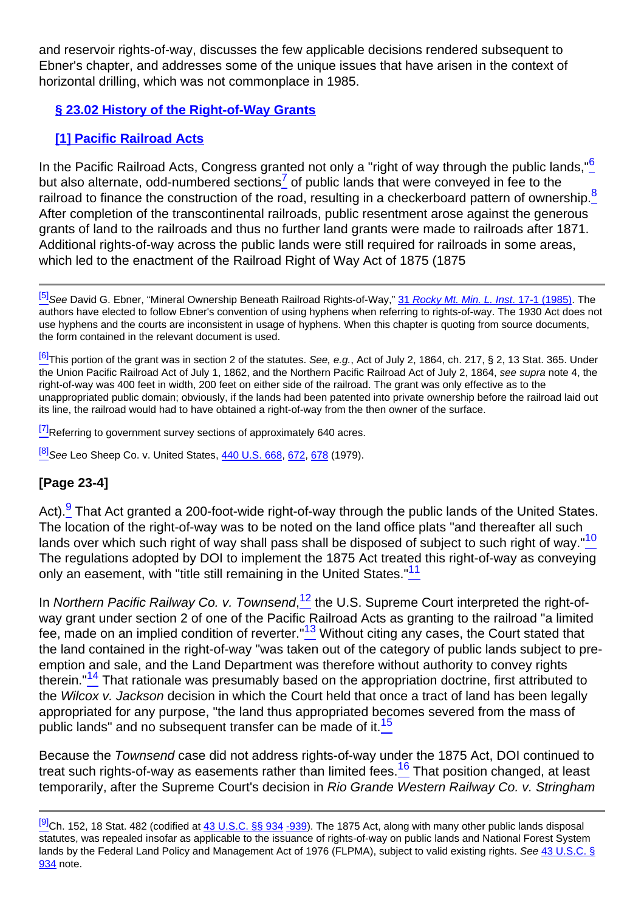and reservoir rights-of-way, discusses the few applicable decisions rendered subsequent to Ebner's chapter, and addresses some of the unique issues that have arisen in the context of horizontal drilling, which was not commonplace in 1985.

# **§ 23.02 History of the Right-of-Way Grants**

# **[1] Pacific Railroad Acts**

<span id="page-2-2"></span><span id="page-2-1"></span><span id="page-2-0"></span>In the Pacific Railroad Acts, Congress granted not only a "right of way through the public lands."<sup>6</sup> but also alternate, odd-numbered sections<sup>7</sup> of public lands that were conveyed in fee to the railroad to finance the construction of the road, resulting in a checkerboard pattern of ownership.<sup>8</sup> After completion of the transcontinental railroads, public resentment arose against the generous grants of land to the railroads and thus no further land grants were made to railroads after 1871. Additional rights-of-way across the public lands were still required for railroads in some areas, which led to the enactment of the Railroad Right of Way Act of 1875 (1875)

<sup>[\[6\]](#page-2-0)</sup>This portion of the grant was in section 2 of the statutes. See, e.g., Act of July 2, 1864, ch. 217, § 2, 13 Stat. 365. Under the Union Pacific Railroad Act of July 1, 1862, and the Northern Pacific Railroad Act of July 2, 1864, see supra note 4, the right-of-way was 400 feet in width, 200 feet on either side of the railroad. The grant was only effective as to the unappropriated public domain; obviously, if the lands had been patented into private ownership before the railroad laid out its line, the railroad would had to have obtained a right-of-way from the then owner of the surface.

<sup>[\[7\]](#page-2-1)</sup>Referring to government survey sections of approximately 640 acres.

<sup>[\[8\]](#page-2-2)</sup>See Leo Sheep Co. v. United States, [440 U.S. 668,](http://links.casemakerlegal.com/books/Case_Law/results?ci=45ampsearch[Cite]=440+U.S.+668ampfn=Vol%2064%20Rocky%20Mt.%20Min.%20L.%20Inst.%20(2018)) [672](http://links.casemakerlegal.com/books/Case_Law/results?ci=45ampsearch[Cite]=440+U.S.+672#page672ampfn=Vol%2064%20Rocky%20Mt.%20Min.%20L.%20Inst.%20(2018)), [678](http://links.casemakerlegal.com/books/Case_Law/results?ci=45ampsearch[Cite]=440+U.S.+678#page678ampfn=Vol%2064%20Rocky%20Mt.%20Min.%20L.%20Inst.%20(2018)) (1979).

# **[Page 23-4]**

<span id="page-2-4"></span><span id="page-2-3"></span>Act).<sup>9</sup> That Act granted a 200-foot-wide right-of-way through the public lands of the United States. The location of the right-of-way was to be noted on the land office plats "and thereafter all such lands over which such right of way shall pass shall be disposed of subject to such right of way."<sup>10</sup> The regulations adopted by DOI to implement the 1875 Act treated this right-of-way as conveying only an easement, with "title still remaining in the United States."<sup>11</sup>

<span id="page-2-8"></span><span id="page-2-7"></span><span id="page-2-6"></span><span id="page-2-5"></span>In Northern Pacific Railway Co. v. Townsend,<sup>12</sup> the U.S. Supreme Court interpreted the right-ofway grant under section 2 of one of the Pacific Railroad Acts as granting to the railroad "a limited fee, made on an implied condition of reverter." $13$  Without citing any cases, the Court stated that the land contained in the right-of-way "was taken out of the category of public lands subject to preemption and sale, and the Land Department was therefore without authority to convey rights therein."<sup>14</sup> That rationale was presumably based on the appropriation doctrine, first attributed to the Wilcox v. Jackson decision in which the Court held that once a tract of land has been legally appropriated for any purpose, "the land thus appropriated becomes severed from the mass of public lands" and no subsequent transfer can be made of it. $\frac{15}{10}$ 

<span id="page-2-10"></span><span id="page-2-9"></span>Because the Townsend case did not address rights-of-way under the 1875 Act, DOI continued to treat such rights-of-way as easements rather than limited fees.<sup>16</sup> That position changed, at least temporarily, after the Supreme Court's decision in Rio Grande Western Railway Co. v. Stringham

<sup>&</sup>lt;sup>[\[5\]](#page-1-4)</sup>See David G. Ebner, "Mineral Ownership Beneath Railroad Rights-of-Way," [31](http://beta2livermmlf.casemakerlibra.com/home/http://rmmlf.casemakerlibra.com/home/libra_2_rmmlf.aspx?doc=d:/data/RMMLF/Samples/31%20Rocky%20Mt.%20Min.%20L.%20Inst.%20(1985)//Chapter%2017.%20MINERAL.htmampcurdoc=18ampp=12234) Rocky Mt. Min. L. Inst[. 17-1 \(1985\)](http://beta2livermmlf.casemakerlibra.com/home/http://rmmlf.casemakerlibra.com/home/libra_2_rmmlf.aspx?doc=d:/data/RMMLF/Samples/31%20Rocky%20Mt.%20Min.%20L.%20Inst.%20(1985)//Chapter%2017.%20MINERAL.htmampcurdoc=18ampp=12234). The authors have elected to follow Ebner's convention of using hyphens when referring to rights-of-way. The 1930 Act does not use hyphens and the courts are inconsistent in usage of hyphens. When this chapter is quoting from source documents, the form contained in the relevant document is used.

 $^{[9]}$  $^{[9]}$  $^{[9]}$ Ch. 152, 18 Stat. 482 (codified at [43 U.S.C. §§ 934](http://links.casemakerlegal.com/federal/US/books/United_States_Code/browse?codesec=934amptitle=43ampci=45ampfn=Vol%2064%20Rocky%20Mt.%20Min.%20L.%20Inst.%20(2018)) [-939\)](http://links.casemakerlegal.com/federal/US/books/United_States_Code/browse?codesec=939amptitle=43ampci=45ampfn=Vol%2064%20Rocky%20Mt.%20Min.%20L.%20Inst.%20(2018)). The 1875 Act, along with many other public lands disposal statutes, was repealed insofar as applicable to the issuance of rights-of-way on public lands and National Forest System lands by the Federal Land Policy and Management Act of 1976 (FLPMA), subject to valid existing rights. See [43 U.S.C. §](http://links.casemakerlegal.com/federal/US/books/United_States_Code/browse?codesec=934amptitle=43ampci=45ampfn=Vol%2064%20Rocky%20Mt.%20Min.%20L.%20Inst.%20(2018)) [934](http://links.casemakerlegal.com/federal/US/books/United_States_Code/browse?codesec=934amptitle=43ampci=45ampfn=Vol%2064%20Rocky%20Mt.%20Min.%20L.%20Inst.%20(2018)) note.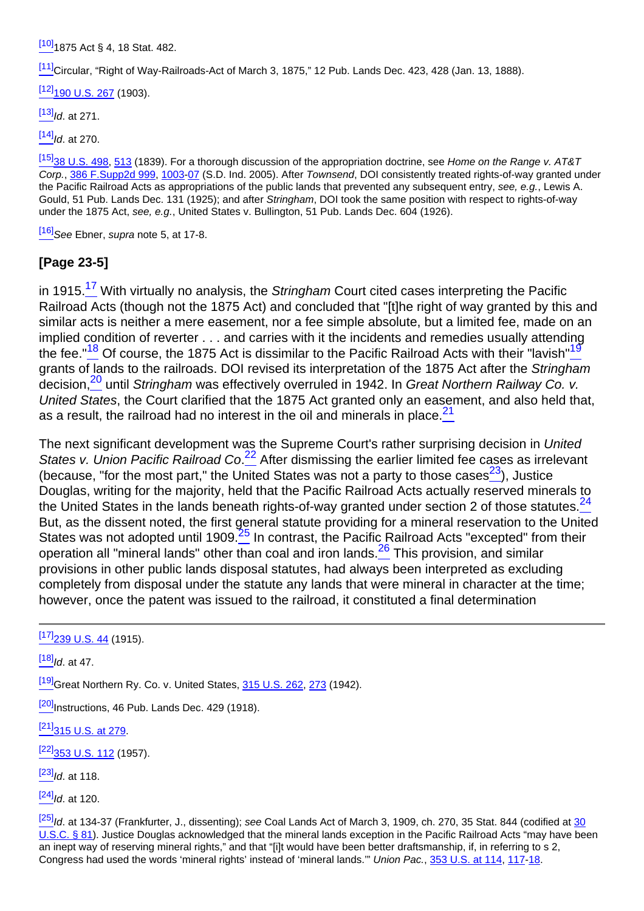[\[10\]](#page-2-4)1875 Act § 4, 18 Stat. 482.

[\[11\]](#page-2-5)Circular, "Right of Way-Railroads-Act of March 3, 1875," 12 Pub. Lands Dec. 423, 428 (Jan. 13, 1888).

 $[12]$ [190 U.S. 267](http://links.casemakerlegal.com/books/Case_Law/results?ci=45ampsearch[Cite]=190+U.S.+267ampfn=Vol%2064%20Rocky%20Mt.%20Min.%20L.%20Inst.%20(2018)) (1903).

 $[13]$ Id. at 271.

 $[14]$ Id. at 270.

[\[15\]](#page-2-9)<sub>38</sub> U.S. 498, [513](http://links.casemakerlegal.com/books/Case_Law/results?ci=45ampsearch[Cite]=38+U.S.+513#page513ampfn=Vol%2064%20Rocky%20Mt.%20Min.%20L.%20Inst.%20(2018)) (1839). For a thorough discussion of the appropriation doctrine, see Home on the Range v. AT&T Corp., [386 F.Supp2d 999,](http://links.casemakerlegal.com/books/Case_Law/results?ci=45ampsearch[Cite]=386+F.Supp.2d+999ampfn=Vol%2064%20Rocky%20Mt.%20Min.%20L.%20Inst.%20(2018)) [1003](http://links.casemakerlegal.com/books/Case_Law/results?ci=45ampsearch[Cite]=386+F.Supp.2d+1003#page1003ampfn=Vol%2064%20Rocky%20Mt.%20Min.%20L.%20Inst.%20(2018))-[07](http://links.casemakerlegal.com/books/Case_Law/results?ci=45ampsearch[Cite]=386+F.Supp.2d+1007#page1007ampfn=Vol%2064%20Rocky%20Mt.%20Min.%20L.%20Inst.%20(2018)) (S.D. Ind. 2005). After Townsend, DOI consistently treated rights-of-way granted under the Pacific Railroad Acts as appropriations of the public lands that prevented any subsequent entry, see, e.g., Lewis A. Gould, 51 Pub. Lands Dec. 131 (1925); and after Stringham, DOI took the same position with respect to rights-of-way under the 1875 Act, see, e.g., United States v. Bullington, 51 Pub. Lands Dec. 604 (1926).

 $[16]$ See Ebner, supra note 5, at 17-8.

### **[Page 23-5]**

<span id="page-3-1"></span><span id="page-3-0"></span>in 1915.<sup>17</sup> With virtually no analysis, the Stringham Court cited cases interpreting the Pacific Railroad Acts (though not the 1875 Act) and concluded that "[t]he right of way granted by this and similar acts is neither a mere easement, nor a fee simple absolute, but a limited fee, made on an implied condition of reverter . . . and carries with it the incidents and remedies usually attending the fee."<sup>18</sup> Of course, the 1875 Act is dissimilar to the Pacific Railroad Acts with their "lavish"<sup>19</sup> grants of lands to the railroads. DOI revised its interpretation of the 1875 Act after the Stringham decision,<sup>20</sup> until Stringham was effectively overruled in 1942. In Great Northern Railway Co. v. United States, the Court clarified that the 1875 Act granted only an easement, and also held that, as a result, the railroad had no interest in the oil and minerals in place.  $21$ 

<span id="page-3-7"></span><span id="page-3-6"></span><span id="page-3-5"></span><span id="page-3-4"></span><span id="page-3-3"></span><span id="page-3-2"></span>The next significant development was the Supreme Court's rather surprising decision in United States v. Union Pacific Railroad Co.<sup>22</sup> After dismissing the earlier limited fee cases as irrelevant (because, "for the most part," the United States was not a party to those cases  $23$ ), Justice Douglas, writing for the majority, held that the Pacific Railroad Acts actually reserved minerals to the United States in the lands beneath rights-of-way granted under section 2 of those statutes. $^{24}$ But, as the dissent noted, the first general statute providing for a mineral reservation to the United States was not adopted until 1909.<sup>25</sup> In contrast, the Pacific Railroad Acts "excepted" from their operation all "mineral lands" other than coal and iron lands.<sup>26</sup> This provision, and similar provisions in other public lands disposal statutes, had always been interpreted as excluding completely from disposal under the statute any lands that were mineral in character at the time; however, once the patent was issued to the railroad, it constituted a final determination

<span id="page-3-8"></span> $[17]$ <sub>239</sub> U.S.  $44$  (1915).

 $[18]$ Id. at 47.

<sup>[\[19\]](#page-3-1)</sup>Great Northern Ry. Co. v. United States, [315 U.S. 262](http://links.casemakerlegal.com/books/Case_Law/results?ci=45ampsearch[Cite]=315+U.S.+262ampfn=Vol%2064%20Rocky%20Mt.%20Min.%20L.%20Inst.%20(2018)), [273](http://links.casemakerlegal.com/books/Case_Law/results?ci=45ampsearch[Cite]=315+U.S.+273#page273ampfn=Vol%2064%20Rocky%20Mt.%20Min.%20L.%20Inst.%20(2018)) (1942).

 $[20]$ Instructions, 46 Pub. Lands Dec. 429 (1918).

[\[21\]](#page-3-3)[315 U.S. at 279](http://links.casemakerlegal.com/books/Case_Law/results?ci=45ampsearch[Cite]=315+U.S.+279#page279ampfn=Vol%2064%20Rocky%20Mt.%20Min.%20L.%20Inst.%20(2018)).

 $[22]$ <sub>353</sub> U.S. 112 (1957).

 $[23]$ <sub>Id.</sub> at 118.

 $[24]$ Id. at 120.

 $\frac{[25]}{1}$  $\frac{[25]}{1}$  $\frac{[25]}{1}$ ld. at 134-37 (Frankfurter, J., dissenting); see Coal Lands Act of March 3, 1909, ch. 270, 35 Stat. 844 (codified at [30](http://links.casemakerlegal.com/federal/US/books/United_States_Code/browse?codesec=81amptitle=30ampci=45ampfn=Vol%2064%20Rocky%20Mt.%20Min.%20L.%20Inst.%20(2018)) [U.S.C. § 81\)](http://links.casemakerlegal.com/federal/US/books/United_States_Code/browse?codesec=81amptitle=30ampci=45ampfn=Vol%2064%20Rocky%20Mt.%20Min.%20L.%20Inst.%20(2018)). Justice Douglas acknowledged that the mineral lands exception in the Pacific Railroad Acts "may have been an inept way of reserving mineral rights," and that "[i]t would have been better draftsmanship, if, in referring to s 2, Congress had used the words 'mineral rights' instead of 'mineral lands.'" Union Pac., [353 U.S. at 114,](http://links.casemakerlegal.com/books/Case_Law/results?ci=45ampsearch[Cite]=353+U.S.+114#page114ampfn=Vol%2064%20Rocky%20Mt.%20Min.%20L.%20Inst.%20(2018)) [117](http://links.casemakerlegal.com/books/Case_Law/results?ci=45ampsearch[Cite]=353+U.S.+117#page117ampfn=Vol%2064%20Rocky%20Mt.%20Min.%20L.%20Inst.%20(2018))[-18](http://links.casemakerlegal.com/books/Case_Law/results?ci=45ampsearch[Cite]=353+U.S.+118#page118ampfn=Vol%2064%20Rocky%20Mt.%20Min.%20L.%20Inst.%20(2018)).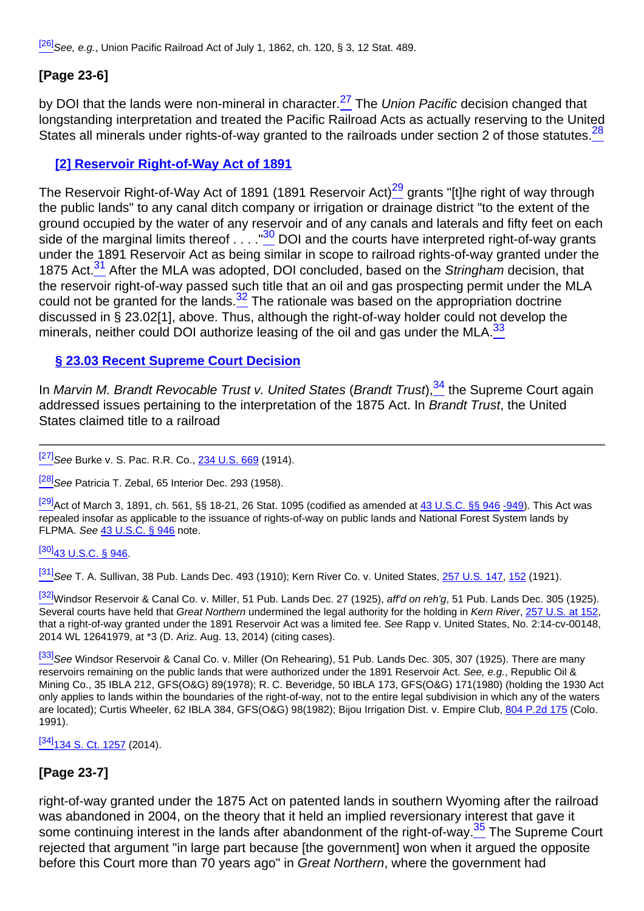$[26]$ See, e.g., Union Pacific Railroad Act of July 1, 1862, ch. 120, § 3, 12 Stat. 489.

# **[Page 23-6]**

<span id="page-4-1"></span><span id="page-4-0"></span>by DOI that the lands were non-mineral in character.<sup>27</sup> The *Union Pacific* decision changed that longstanding interpretation and treated the Pacific Railroad Acts as actually reserving to the United States all minerals under rights-of-way granted to the railroads under section 2 of those statutes.<sup>28</sup>

### **[2] Reservoir Right-of-Way Act of 1891**

<span id="page-4-4"></span><span id="page-4-3"></span><span id="page-4-2"></span>The Reservoir Right-of-Way Act of 1891 (1891 Reservoir Act) $\frac{29}{9}$  grants "[t]he right of way through the public lands" to any canal ditch company or irrigation or drainage district "to the extent of the ground occupied by the water of any reservoir and of any canals and laterals and fifty feet on each side of the marginal limits thereof  $\ldots$  . ."<sup>30</sup> DOI and the courts have interpreted right-of-way grants under the 1891 Reservoir Act as being similar in scope to railroad rights-of-way granted under the 1875 Act.<sup>31</sup> After the MLA was adopted, DOI concluded, based on the Stringham decision, that the reservoir right-of-way passed such title that an oil and gas prospecting permit under the MLA could not be granted for the lands. $\frac{32}{2}$  The rationale was based on the appropriation doctrine discussed in § 23.02[1], above. Thus, although the right-of-way holder could not develop the minerals, neither could DOI authorize leasing of the oil and gas under the MLA. $\frac{33}{2}$ 

### <span id="page-4-6"></span><span id="page-4-5"></span>**§ 23.03 Recent Supreme Court Decision**

<span id="page-4-7"></span>In Marvin M. Brandt Revocable Trust v. United States (Brandt Trust), $34$  the Supreme Court again addressed issues pertaining to the interpretation of the 1875 Act. In Brandt Trust, the United States claimed title to a railroad

<sup>[\[27\]](#page-4-0)</sup>See Burke v. S. Pac. R.R. Co., [234 U.S. 669](http://links.casemakerlegal.com/books/Case_Law/results?ci=45ampsearch[Cite]=234+U.S.+669ampfn=Vol%2064%20Rocky%20Mt.%20Min.%20L.%20Inst.%20(2018)) (1914).

<sup>[\[28\]](#page-4-1)</sup>See Patricia T. Zebal, 65 Interior Dec. 293 (1958).

 $\frac{[29]}{[29]}$  $\frac{[29]}{[29]}$  $\frac{[29]}{[29]}$  Act of March 3, 1891, ch. 561, §§ 18-21, 26 Stat. 1095 (codified as amended at  $\frac{43 \text{ U.S.C.}}{[29]}$  46 [-949](http://links.casemakerlegal.com/federal/US/books/United_States_Code/browse?codesec=949amptitle=43ampci=45ampfn=Vol%2064%20Rocky%20Mt.%20Min.%20L.%20Inst.%20(2018))). This Act was repealed insofar as applicable to the issuance of rights-of-way on public lands and National Forest System lands by FLPMA. See [43 U.S.C. § 946](http://links.casemakerlegal.com/federal/US/books/United_States_Code/browse?codesec=946amptitle=43ampci=45ampfn=Vol%2064%20Rocky%20Mt.%20Min.%20L.%20Inst.%20(2018)) note.

#### $[30]$ [43 U.S.C. § 946.](http://links.casemakerlegal.com/federal/US/books/United_States_Code/browse?codesec=946amptitle=43ampci=45ampfn=Vol%2064%20Rocky%20Mt.%20Min.%20L.%20Inst.%20(2018))

[\[31\]](#page-4-4)See T. A. Sullivan, 38 Pub. Lands Dec. 493 (1910); Kern River Co. v. United States, [257 U.S. 147,](http://links.casemakerlegal.com/books/Case_Law/results?ci=45ampsearch[Cite]=257+U.S.+147ampfn=Vol%2064%20Rocky%20Mt.%20Min.%20L.%20Inst.%20(2018)) [152](http://links.casemakerlegal.com/books/Case_Law/results?ci=45ampsearch[Cite]=257+U.S.+152#page152ampfn=Vol%2064%20Rocky%20Mt.%20Min.%20L.%20Inst.%20(2018)) (1921).

[\[32\]](#page-4-5)Windsor Reservoir & Canal Co. v. Miller, 51 Pub. Lands Dec. 27 (1925), aff'd on reh'g, 51 Pub. Lands Dec. 305 (1925). Several courts have held that Great Northern undermined the legal authority for the holding in Kern River, [257 U.S. at 152,](http://links.casemakerlegal.com/books/Case_Law/results?ci=45ampsearch[Cite]=257+U.S.+152#page152ampfn=Vol%2064%20Rocky%20Mt.%20Min.%20L.%20Inst.%20(2018)) that a right-of-way granted under the 1891 Reservoir Act was a limited fee. See Rapp v. United States, No. 2:14-cv-00148, 2014 WL 12641979, at \*3 (D. Ariz. Aug. 13, 2014) (citing cases).

[\[33\]](#page-4-6) See Windsor Reservoir & Canal Co. v. Miller (On Rehearing), 51 Pub. Lands Dec. 305, 307 (1925). There are many reservoirs remaining on the public lands that were authorized under the 1891 Reservoir Act. See, e.g., Republic Oil & Mining Co., 35 IBLA 212, GFS(O&G) 89(1978); R. C. Beveridge, 50 IBLA 173, GFS(O&G) 171(1980) (holding the 1930 Act only applies to lands within the boundaries of the right-of-way, not to the entire legal subdivision in which any of the waters are located); Curtis Wheeler, 62 IBLA 384, GFS(O&G) 98(1982); Bijou Irrigation Dist. v. Empire Club, [804 P.2d 175](http://links.casemakerlegal.com/books/Case_Law/results?ci=45ampsearch[Cite]=804+P.2d+175ampfn=Vol%2064%20Rocky%20Mt.%20Min.%20L.%20Inst.%20(2018)) (Colo. 1991).

[\[34\]](#page-4-7)<sub>134</sub> S. Ct. 1257 (2014).

# **[Page 23-7]**

<span id="page-4-9"></span><span id="page-4-8"></span>right-of-way granted under the 1875 Act on patented lands in southern Wyoming after the railroad was abandoned in 2004, on the theory that it held an implied reversionary interest that gave it some continuing interest in the lands after abandonment of the right-of-way.<sup>35</sup> The Supreme Court rejected that argument "in large part because [the government] won when it argued the opposite before this Court more than 70 years ago" in Great Northern, where the government had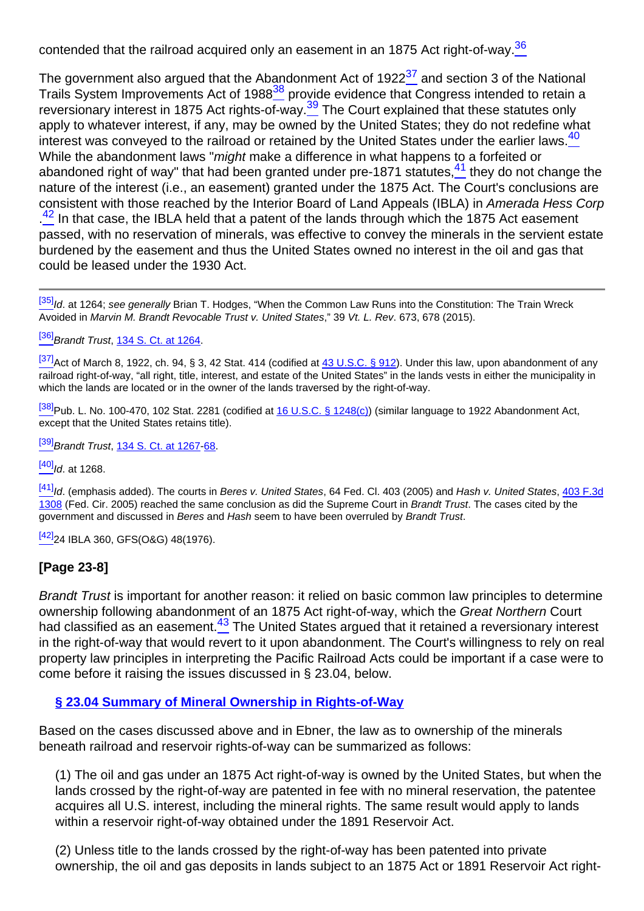contended that the railroad acquired only an easement in an 1875 Act right-of-way. $\frac{36}{5}$ 

<span id="page-5-4"></span><span id="page-5-3"></span><span id="page-5-2"></span><span id="page-5-1"></span><span id="page-5-0"></span>The government also argued that the Abandonment Act of 1922 $37$  and section 3 of the National Trails System Improvements Act of 1988<sup>38</sup> provide evidence that Congress intended to retain a reversionary interest in 1875 Act rights-of-way.<sup>39</sup> The Court explained that these statutes only apply to whatever interest, if any, may be owned by the United States; they do not redefine what interest was conveyed to the railroad or retained by the United States under the earlier laws.<sup>40</sup> While the abandonment laws "*might* make a difference in what happens to a forfeited or abandoned right of way" that had been granted under pre-1871 statutes,  $\frac{41}{1}$  they do not change the nature of the interest (i.e., an easement) granted under the 1875 Act. The Court's conclusions are consistent with those reached by the Interior Board of Land Appeals (IBLA) in Amerada Hess Corp <sup>42</sup> In that case, the IBLA held that a patent of the lands through which the 1875 Act easement passed, with no reservation of minerals, was effective to convey the minerals in the servient estate burdened by the easement and thus the United States owned no interest in the oil and gas that could be leased under the 1930 Act.

<span id="page-5-5"></span>[\[35\]](#page-4-8) Id. at 1264; see generally Brian T. Hodges, "When the Common Law Runs into the Constitution: The Train Wreck Avoided in Marvin M. Brandt Revocable Trust v. United States," 39 Vt. L. Rev. 673, 678 (2015).

[\[36\]](#page-4-9) Brandt Trust, [134 S. Ct. at 1264](http://links.casemakerlegal.com/books/Case_Law/results?ci=45ampsearch[Cite]=134+S.+Ct.+1264#page1264ampfn=Vol%2064%20Rocky%20Mt.%20Min.%20L.%20Inst.%20(2018)).

[\[37\]](#page-5-0) Act of March 8, 1922, ch. 94, § 3, 42 Stat. 414 (codified at [43 U.S.C. § 912](http://links.casemakerlegal.com/federal/US/books/United_States_Code/browse?codesec=912amptitle=43ampci=45ampfn=Vol%2064%20Rocky%20Mt.%20Min.%20L.%20Inst.%20(2018))). Under this law, upon abandonment of any railroad right-of-way, "all right, title, interest, and estate of the United States" in the lands vests in either the municipality in which the lands are located or in the owner of the lands traversed by the right-of-way.

 $\frac{[38]}{[38]}$  $\frac{[38]}{[38]}$  $\frac{[38]}{[38]}$ Pub. L. No. 100-470, 102 Stat. 2281 (codified at [16 U.S.C. § 1248\(c\)](http://links.casemakerlegal.com/federal/US/books/United_States_Code/browse?codesec=1248amptitle=16ampci=45#1248(c)ampfn=Vol%2064%20Rocky%20Mt.%20Min.%20L.%20Inst.%20(2018))) (similar language to 1922 Abandonment Act, except that the United States retains title).

[\[39\]](#page-5-2) Brandt Trust, [134 S. Ct. at 1267](http://links.casemakerlegal.com/books/Case_Law/results?ci=45ampsearch[Cite]=134+S.+Ct.+1267#page1267ampfn=Vol%2064%20Rocky%20Mt.%20Min.%20L.%20Inst.%20(2018))[-68](http://links.casemakerlegal.com/books/Case_Law/results?ci=45ampsearch[Cite]=134+S.+Ct.+1268#page1268ampfn=Vol%2064%20Rocky%20Mt.%20Min.%20L.%20Inst.%20(2018)).

 $[40]$ Id. at 1268.

 $\frac{[41]}{1}$  $\frac{[41]}{1}$  $\frac{[41]}{1}$ Id. (emphasis added). The courts in Beres v. United States, 64 Fed. Cl. 403 (2005) and Hash v. United States,  $\frac{403 \text{ F} \cdot 3d}{2}$ [1308](http://links.casemakerlegal.com/books/Case_Law/results?ci=45ampsearch[Cite]=403+F.3d+1308ampfn=Vol%2064%20Rocky%20Mt.%20Min.%20L.%20Inst.%20(2018)) (Fed. Cir. 2005) reached the same conclusion as did the Supreme Court in Brandt Trust. The cases cited by the government and discussed in Beres and Hash seem to have been overruled by Brandt Trust.

 $[42]$ <sub>24</sub> IBLA 360, GFS(O&G) 48(1976).

### **[Page 23-8]**

<span id="page-5-6"></span>Brandt Trust is important for another reason: it relied on basic common law principles to determine ownership following abandonment of an 1875 Act right-of-way, which the Great Northern Court had classified as an easement.<sup>43</sup> The United States argued that it retained a reversionary interest in the right-of-way that would revert to it upon abandonment. The Court's willingness to rely on real property law principles in interpreting the Pacific Railroad Acts could be important if a case were to come before it raising the issues discussed in § 23.04, below.

#### **§ 23.04 Summary of Mineral Ownership in Rights-of-Way**

Based on the cases discussed above and in Ebner, the law as to ownership of the minerals beneath railroad and reservoir rights-of-way can be summarized as follows:

(1) The oil and gas under an 1875 Act right-of-way is owned by the United States, but when the lands crossed by the right-of-way are patented in fee with no mineral reservation, the patentee acquires all U.S. interest, including the mineral rights. The same result would apply to lands within a reservoir right-of-way obtained under the 1891 Reservoir Act.

(2) Unless title to the lands crossed by the right-of-way has been patented into private ownership, the oil and gas deposits in lands subject to an 1875 Act or 1891 Reservoir Act right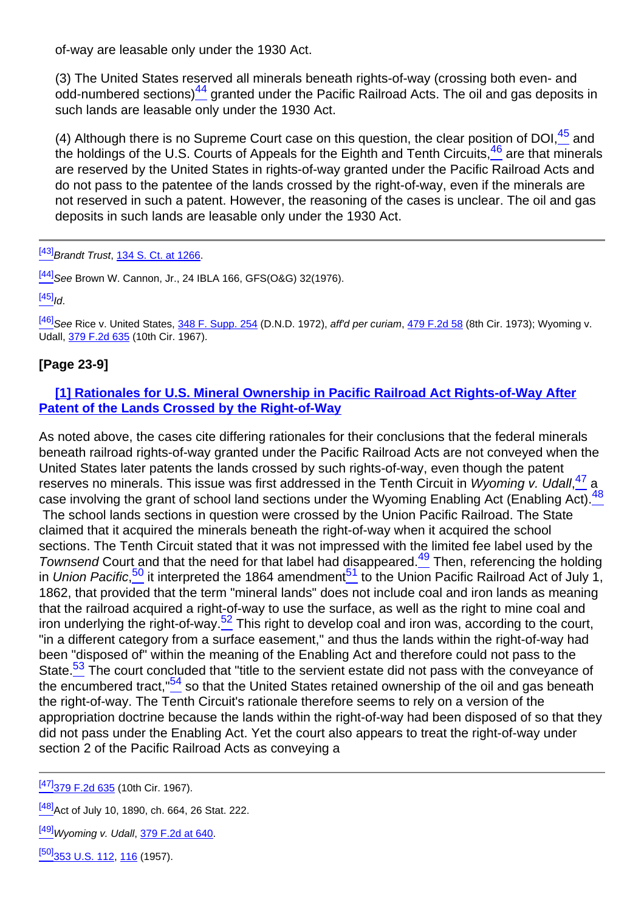of-way are leasable only under the 1930 Act.

<span id="page-6-0"></span>(3) The United States reserved all minerals beneath rights-of-way (crossing both even- and odd-numbered sections) $\frac{44}{5}$  granted under the Pacific Railroad Acts. The oil and gas deposits in such lands are leasable only under the 1930 Act.

<span id="page-6-2"></span><span id="page-6-1"></span>(4) Although there is no Supreme Court case on this question, the clear position of DOI $,45$  and the holdings of the U.S. Courts of Appeals for the Eighth and Tenth Circuits,  $\frac{46}{10}$  are that minerals are reserved by the United States in rights-of-way granted under the Pacific Railroad Acts and do not pass to the patentee of the lands crossed by the right-of-way, even if the minerals are not reserved in such a patent. However, the reasoning of the cases is unclear. The oil and gas deposits in such lands are leasable only under the 1930 Act.

 $[43]$ Brandt Trust, [134 S. Ct. at 1266](http://links.casemakerlegal.com/books/Case_Law/results?ci=45ampsearch[Cite]=134+S.+Ct.+1266#page1266ampfn=Vol%2064%20Rocky%20Mt.%20Min.%20L.%20Inst.%20(2018)).

<sup>[\[44\]](#page-6-0)</sup>See Brown W. Cannon, Jr., 24 IBLA 166, GFS(O&G) 32(1976).

 $[45]$ <sub>Id.</sub>

 $\frac{[46]}{[46]}$  $\frac{[46]}{[46]}$  $\frac{[46]}{[46]}$ See Rice v. United States, [348 F. Supp. 254](http://links.casemakerlegal.com/books/Case_Law/results?ci=45ampsearch[Cite]=348+F.SUPP.+254ampfn=Vol%2064%20Rocky%20Mt.%20Min.%20L.%20Inst.%20(2018)) (D.N.D. 1972), aff'd per curiam, [479 F.2d 58](http://links.casemakerlegal.com/books/Case_Law/results?ci=45ampsearch[Cite]=479+F.2d+58ampfn=Vol%2064%20Rocky%20Mt.%20Min.%20L.%20Inst.%20(2018)) (8th Cir. 1973); Wyoming v. Udall, [379 F.2d 635](http://links.casemakerlegal.com/books/Case_Law/results?ci=45ampsearch[Cite]=379+F.2d+635ampfn=Vol%2064%20Rocky%20Mt.%20Min.%20L.%20Inst.%20(2018)) (10th Cir. 1967).

### **[Page 23-9]**

### **[1] Rationales for U.S. Mineral Ownership in Pacific Railroad Act Rights-of-Way After Patent of the Lands Crossed by the Right-of-Way**

<span id="page-6-7"></span><span id="page-6-6"></span><span id="page-6-5"></span><span id="page-6-4"></span><span id="page-6-3"></span>As noted above, the cases cite differing rationales for their conclusions that the federal minerals beneath railroad rights-of-way granted under the Pacific Railroad Acts are not conveyed when the United States later patents the lands crossed by such rights-of-way, even though the patent reserves no minerals. This issue was first addressed in the Tenth Circuit in Wyoming v. Udall, 47 a case involving the grant of school land sections under the Wyoming Enabling Act (Enabling Act).<sup>48</sup> The school lands sections in question were crossed by the Union Pacific Railroad. The State claimed that it acquired the minerals beneath the right-of-way when it acquired the school sections. The Tenth Circuit stated that it was not impressed with the limited fee label used by the Townsend Court and that the need for that label had disappeared.<sup>49</sup> Then, referencing the holding in Union Pacific,<sup>50</sup> it interpreted the 1864 amendment<sup>51</sup> to the Union Pacific Railroad Act of July 1, 1862, that provided that the term "mineral lands" does not include coal and iron lands as meaning that the railroad acquired a right-of-way to use the surface, as well as the right to mine coal and iron underlying the right-of-way.<sup>52</sup> This right to develop coal and iron was, according to the court, "in a different category from a surface easement," and thus the lands within the right-of-way had been "disposed of" within the meaning of the Enabling Act and therefore could not pass to the State.<sup>53</sup> The court concluded that "title to the servient estate did not pass with the conveyance of the encumbered tract,  $54$  so that the United States retained ownership of the oil and gas beneath the right-of-way. The Tenth Circuit's rationale therefore seems to rely on a version of the appropriation doctrine because the lands within the right-of-way had been disposed of so that they did not pass under the Enabling Act. Yet the court also appears to treat the right-of-way under section 2 of the Pacific Railroad Acts as conveying a

<span id="page-6-9"></span><span id="page-6-8"></span>[\[47\]](#page-6-3)[379 F.2d 635](http://links.casemakerlegal.com/books/Case_Law/results?ci=45ampsearch[Cite]=379+F.2d+635ampfn=Vol%2064%20Rocky%20Mt.%20Min.%20L.%20Inst.%20(2018)) (10th Cir. 1967).

<sup>[\[48\]](#page-6-4)</sup>Act of July 10, 1890, ch. 664, 26 Stat. 222.

 $^{[49]}$  $^{[49]}$  $^{[49]}$ Wyoming v. Udall,  $379$  F.2d at 640.

[\[50\]](#page-6-6)<sub>353</sub> U.S. 112, [116](http://links.casemakerlegal.com/books/Case_Law/results?ci=45ampsearch[Cite]=353+U.S.+116#page116ampfn=Vol%2064%20Rocky%20Mt.%20Min.%20L.%20Inst.%20(2018)) (1957).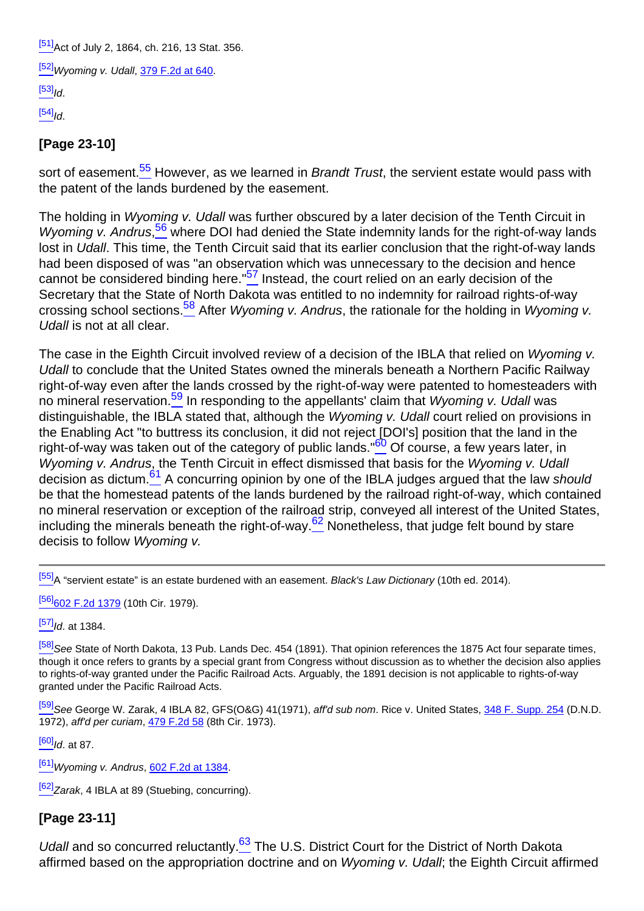<sup>[\[51\]](#page-6-6)</sup>Act of July 2, 1864, ch. 216, 13 Stat, 356.

[\[52\]](#page-6-7)Wyoming v. Udall, [379 F.2d at 640.](http://links.casemakerlegal.com/books/Case_Law/results?ci=45ampsearch[Cite]=379+F.2d+640#page640ampfn=Vol%2064%20Rocky%20Mt.%20Min.%20L.%20Inst.%20(2018))

 $[53]$ <sub>Id.</sub>

 $[54]$ <sub>Id</sub>

### **[Page 23-10]**

<span id="page-7-0"></span>sort of easement.<sup>55</sup> However, as we learned in *Brandt Trust*, the servient estate would pass with the patent of the lands burdened by the easement.

<span id="page-7-2"></span><span id="page-7-1"></span>The holding in Wyoming v. Udall was further obscured by a later decision of the Tenth Circuit in Wyoming v. Andrus,<sup>56</sup> where DOI had denied the State indemnity lands for the right-of-way lands lost in Udall. This time, the Tenth Circuit said that its earlier conclusion that the right-of-way lands had been disposed of was "an observation which was unnecessary to the decision and hence cannot be considered binding here." $57$  Instead, the court relied on an early decision of the Secretary that the State of North Dakota was entitled to no indemnity for railroad rights-of-way crossing school sections.<sup>58</sup> After Wyoming v. Andrus, the rationale for the holding in Wyoming v. Udall is not at all clear.

<span id="page-7-6"></span><span id="page-7-5"></span><span id="page-7-4"></span><span id="page-7-3"></span>The case in the Eighth Circuit involved review of a decision of the IBLA that relied on Wyoming v. Udall to conclude that the United States owned the minerals beneath a Northern Pacific Railway right-of-way even after the lands crossed by the right-of-way were patented to homesteaders with no mineral reservation.<sup>59</sup> In responding to the appellants' claim that *Wyoming v. Udall* was distinguishable, the IBLA stated that, although the Wyoming v. Udall court relied on provisions in the Enabling Act "to buttress its conclusion, it did not reject [DOI's] position that the land in the right-of-way was taken out of the category of public lands." $60^{\circ}$  Of course, a few years later, in Wyoming v. Andrus, the Tenth Circuit in effect dismissed that basis for the Wyoming v. Udall decision as dictum.<sup>61</sup> A concurring opinion by one of the IBLA judges argued that the law should be that the homestead patents of the lands burdened by the railroad right-of-way, which contained no mineral reservation or exception of the railroad strip, conveyed all interest of the United States, including the minerals beneath the right-of-way. $62$  Nonetheless, that judge felt bound by stare decisis to follow Wyoming v.

<span id="page-7-7"></span> $[55]$ A "servient estate" is an estate burdened with an easement. Black's Law Dictionary (10th ed. 2014).

[\[56\]](#page-7-1)[602 F.2d 1379](http://links.casemakerlegal.com/books/Case_Law/results?ci=45ampsearch[Cite]=602+F.2d+1379ampfn=Vol%2064%20Rocky%20Mt.%20Min.%20L.%20Inst.%20(2018)) (10th Cir. 1979).

 $[57]$ Id. at 1384.

[\[58\]](#page-7-3)See State of North Dakota, 13 Pub. Lands Dec. 454 (1891). That opinion references the 1875 Act four separate times, though it once refers to grants by a special grant from Congress without discussion as to whether the decision also applies to rights-of-way granted under the Pacific Railroad Acts. Arguably, the 1891 decision is not applicable to rights-of-way granted under the Pacific Railroad Acts.

[\[59\]](#page-7-4) See George W. Zarak, 4 IBLA 82, GFS(O&G) 41(1971), aff'd sub nom. Rice v. United States, [348 F. Supp. 254](http://links.casemakerlegal.com/books/Case_Law/results?ci=45ampsearch[Cite]=348+F.SUPP.+254ampfn=Vol%2064%20Rocky%20Mt.%20Min.%20L.%20Inst.%20(2018)) (D.N.D. 1972), aff'd per curiam, [479 F.2d 58](http://links.casemakerlegal.com/books/Case_Law/results?ci=45ampsearch[Cite]=479+F.2d+58ampfn=Vol%2064%20Rocky%20Mt.%20Min.%20L.%20Inst.%20(2018)) (8th Cir. 1973).

 $[60]$ <sub>Id. at 87.</sub>

 $[61]$ Wyoming v. Andrus, [602 F.2d at 1384.](http://links.casemakerlegal.com/books/Case_Law/results?ci=45ampsearch[Cite]=602+F.2d+1384#page1384ampfn=Vol%2064%20Rocky%20Mt.%20Min.%20L.%20Inst.%20(2018))

 $[62]$ Zarak, 4 IBLA at 89 (Stuebing, concurring).

# **[Page 23-11]**

<span id="page-7-8"></span>Udall and so concurred reluctantly.<sup>63</sup> The U.S. District Court for the District of North Dakota affirmed based on the appropriation doctrine and on Wyoming v. Udall; the Eighth Circuit affirmed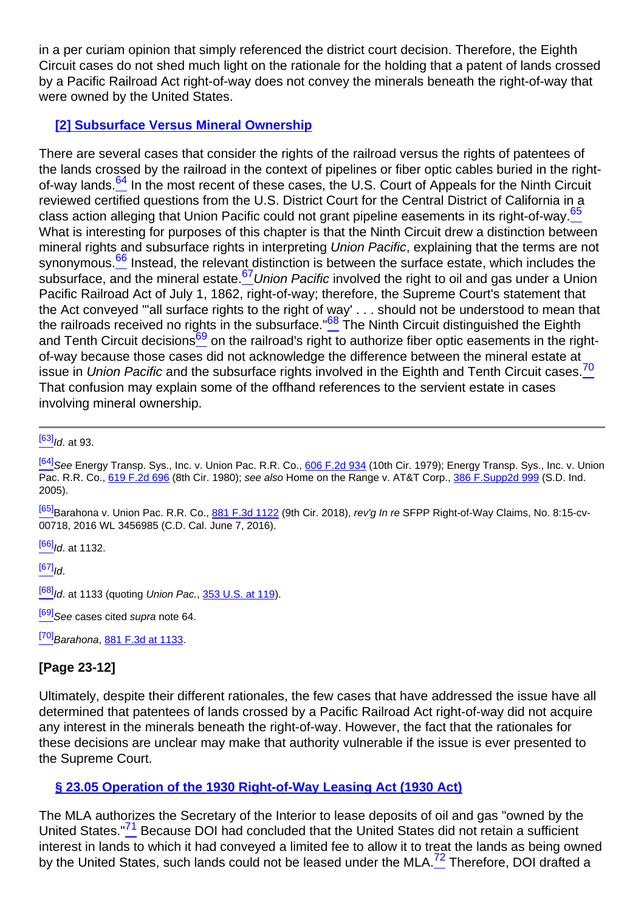in a per curiam opinion that simply referenced the district court decision. Therefore, the Eighth Circuit cases do not shed much light on the rationale for the holding that a patent of lands crossed by a Pacific Railroad Act right-of-way does not convey the minerals beneath the right-of-way that were owned by the United States.

### **[2] Subsurface Versus Mineral Ownership**

<span id="page-8-3"></span><span id="page-8-2"></span><span id="page-8-1"></span><span id="page-8-0"></span>There are several cases that consider the rights of the railroad versus the rights of patentees of the lands crossed by the railroad in the context of pipelines or fiber optic cables buried in the rightof-way lands.<sup>64</sup> In the most recent of these cases, the U.S. Court of Appeals for the Ninth Circuit reviewed certified questions from the U.S. District Court for the Central District of California in a class action alleging that Union Pacific could not grant pipeline easements in its right-of-way.<sup>65</sup> What is interesting for purposes of this chapter is that the Ninth Circuit drew a distinction between mineral rights and subsurface rights in interpreting Union Pacific, explaining that the terms are not synonymous.<sup>66</sup> Instead, the relevant distinction is between the surface estate, which includes the subsurface, and the mineral estate.<sup>67</sup>Union Pacific involved the right to oil and gas under a Union Pacific Railroad Act of July 1, 1862, right-of-way; therefore, the Supreme Court's statement that the Act conveyed "'all surface rights to the right of way' . . . should not be understood to mean that the railroads received no rights in the subsurface."<sup>68</sup> The Ninth Circuit distinguished the Eighth and Tenth Circuit decisions<sup>69</sup> on the railroad's right to authorize fiber optic easements in the rightof-way because those cases did not acknowledge the difference between the mineral estate at issue in Union Pacific and the subsurface rights involved in the Eighth and Tenth Circuit cases.<sup>70</sup> That confusion may explain some of the offhand references to the servient estate in cases involving mineral ownership.

<span id="page-8-6"></span><span id="page-8-5"></span><span id="page-8-4"></span> $[63]$ <sub>Id.</sub> at 93.

[\[65\]](#page-8-1)Barahona v. Union Pac. R.R. Co., [881 F.3d 1122](http://links.casemakerlegal.com/books/Case_Law/results?ci=45ampsearch[Cite]=881+F.3d+1122ampfn=Vol%2064%20Rocky%20Mt.%20Min.%20L.%20Inst.%20(2018)) (9th Cir. 2018), rev'g In re SFPP Right-of-Way Claims, No. 8:15-cv-00718, 2016 WL 3456985 (C.D. Cal. June 7, 2016).

 $[66]$ <sub>Id.</sub> at 1132.

 $[67]$ <sub>Id.</sub>

 $\frac{[68]}{1}$  $\frac{[68]}{1}$  $\frac{[68]}{1}$ Id. at 1133 (quoting Union Pac.,  $\frac{353}{15}$ . at 119).

 $[69]$ See cases cited supra note 64.

 $[70]$ Barahona, [881 F.3d at 1133](http://links.casemakerlegal.com/books/Case_Law/results?ci=45ampsearch[Cite]=881+F.3d+1133#page1133ampfn=Vol%2064%20Rocky%20Mt.%20Min.%20L.%20Inst.%20(2018)).

# **[Page 23-12]**

Ultimately, despite their different rationales, the few cases that have addressed the issue have all determined that patentees of lands crossed by a Pacific Railroad Act right-of-way did not acquire any interest in the minerals beneath the right-of-way. However, the fact that the rationales for these decisions are unclear may make that authority vulnerable if the issue is ever presented to the Supreme Court.

### **§ 23.05 Operation of the 1930 Right-of-Way Leasing Act (1930 Act)**

<span id="page-8-8"></span><span id="page-8-7"></span>The MLA authorizes the Secretary of the Interior to lease deposits of oil and gas "owned by the United States."<sup>71</sup> Because DOI had concluded that the United States did not retain a sufficient interest in lands to which it had conveyed a limited fee to allow it to treat the lands as being owned by the United States, such lands could not be leased under the MLA.<sup>72</sup> Therefore, DOI drafted a

<sup>&</sup>lt;sup>[\[64\]](#page-8-0)</sup>See Energy Transp. Sys., Inc. v. Union Pac. R.R. Co., [606 F.2d 934](http://links.casemakerlegal.com/books/Case_Law/results?ci=45ampsearch[Cite]=606+F.2d+934ampfn=Vol%2064%20Rocky%20Mt.%20Min.%20L.%20Inst.%20(2018)) (10th Cir. 1979); Energy Transp. Sys., Inc. v. Union Pac. R.R. Co., [619 F.2d 696](http://links.casemakerlegal.com/books/Case_Law/results?ci=45ampsearch[Cite]=619+F.2d+696ampfn=Vol%2064%20Rocky%20Mt.%20Min.%20L.%20Inst.%20(2018)) (8th Cir. 1980); see also Home on the Range v. AT&T Corp., 386 F. Supp2d 999 (S.D. Ind. 2005).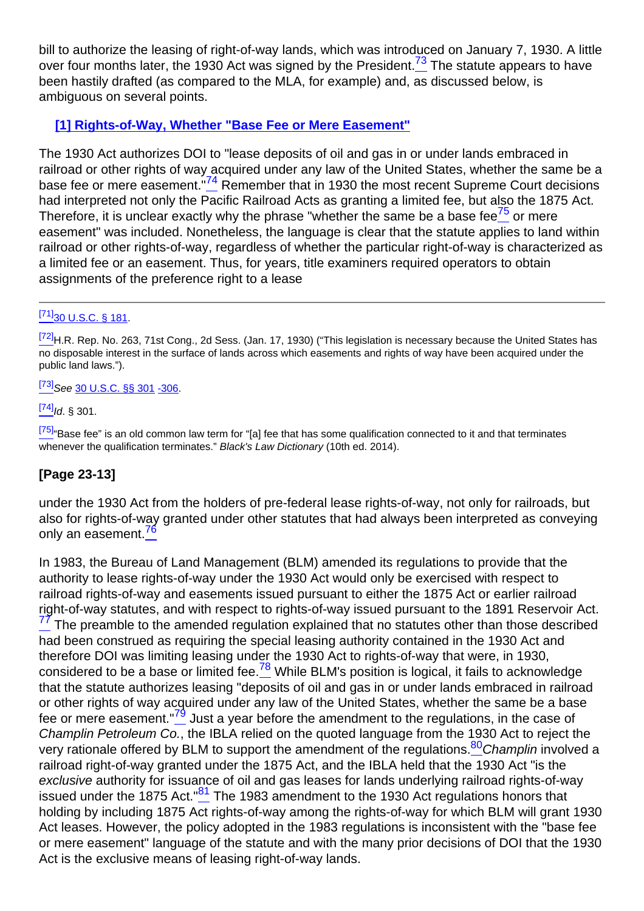<span id="page-9-0"></span>bill to authorize the leasing of right-of-way lands, which was introduced on January 7, 1930. A little over four months later, the 1930 Act was signed by the President.<sup>73</sup> The statute appears to have been hastily drafted (as compared to the MLA, for example) and, as discussed below, is ambiguous on several points.

### **[1] Rights-of-Way, Whether "Base Fee or Mere Easement"**

<span id="page-9-2"></span><span id="page-9-1"></span>The 1930 Act authorizes DOI to "lease deposits of oil and gas in or under lands embraced in railroad or other rights of way acquired under any law of the United States, whether the same be a base fee or mere easement.<sup>"74</sup> Remember that in 1930 the most recent Supreme Court decisions had interpreted not only the Pacific Railroad Acts as granting a limited fee, but also the 1875 Act. Therefore, it is unclear exactly why the phrase "whether the same be a base fee $\frac{75}{5}$  or mere easement" was included. Nonetheless, the language is clear that the statute applies to land within railroad or other rights-of-way, regardless of whether the particular right-of-way is characterized as a limited fee or an easement. Thus, for years, title examiners required operators to obtain assignments of the preference right to a lease

#### $[71]_{30}$  $[71]_{30}$  U.S.C. § 181.

[\[72\]](#page-8-8) H.R. Rep. No. 263. 71st Cong., 2d Sess. (Jan. 17, 1930) ("This legislation is necessary because the United States has no disposable interest in the surface of lands across which easements and rights of way have been acquired under the public land laws.").

 $[73]$ See [30 U.S.C. §§ 301](http://links.casemakerlegal.com/federal/US/books/United_States_Code/browse?codesec=301amptitle=30ampci=45ampfn=Vol%2064%20Rocky%20Mt.%20Min.%20L.%20Inst.%20(2018)) [-306.](http://links.casemakerlegal.com/federal/US/books/United_States_Code/browse?codesec=306amptitle=30ampci=45ampfn=Vol%2064%20Rocky%20Mt.%20Min.%20L.%20Inst.%20(2018))

 $^{[74]}$  $^{[74]}$  $^{[74]}$ Id. § 301.

<sup>[\[75\]](#page-9-2)</sup>"Base fee" is an old common law term for "[a] fee that has some qualification connected to it and that terminates whenever the qualification terminates." Black's Law Dictionary (10th ed. 2014).

### **[Page 23-13]**

<span id="page-9-3"></span>under the 1930 Act from the holders of pre-federal lease rights-of-way, not only for railroads, but also for rights-of-way granted under other statutes that had always been interpreted as conveying only an easement.<sup>76</sup>

<span id="page-9-8"></span><span id="page-9-7"></span><span id="page-9-6"></span><span id="page-9-5"></span><span id="page-9-4"></span>In 1983, the Bureau of Land Management (BLM) amended its regulations to provide that the authority to lease rights-of-way under the 1930 Act would only be exercised with respect to railroad rights-of-way and easements issued pursuant to either the 1875 Act or earlier railroad right-of-way statutes, and with respect to rights-of-way issued pursuant to the 1891 Reservoir Act.  $77$  The preamble to the amended regulation explained that no statutes other than those described had been construed as requiring the special leasing authority contained in the 1930 Act and therefore DOI was limiting leasing under the 1930 Act to rights-of-way that were, in 1930, considered to be a base or limited fee. $\frac{78}{6}$  While BLM's position is logical, it fails to acknowledge that the statute authorizes leasing "deposits of oil and gas in or under lands embraced in railroad or other rights of way acquired under any law of the United States, whether the same be a base fee or mere easement."<sup>79</sup> Just a year before the amendment to the regulations, in the case of Champlin Petroleum Co., the IBLA relied on the quoted language from the 1930 Act to reject the very rationale offered by BLM to support the amendment of the regulations.<sup>80</sup>Champlin involved a railroad right-of-way granted under the 1875 Act, and the IBLA held that the 1930 Act "is the exclusive authority for issuance of oil and gas leases for lands underlying railroad rights-of-way issued under the 1875 Act. $\frac{81}{1}$  The 1983 amendment to the 1930 Act regulations honors that holding by including 1875 Act rights-of-way among the rights-of-way for which BLM will grant 1930 Act leases. However, the policy adopted in the 1983 regulations is inconsistent with the "base fee or mere easement" language of the statute and with the many prior decisions of DOI that the 1930 Act is the exclusive means of leasing right-of-way lands.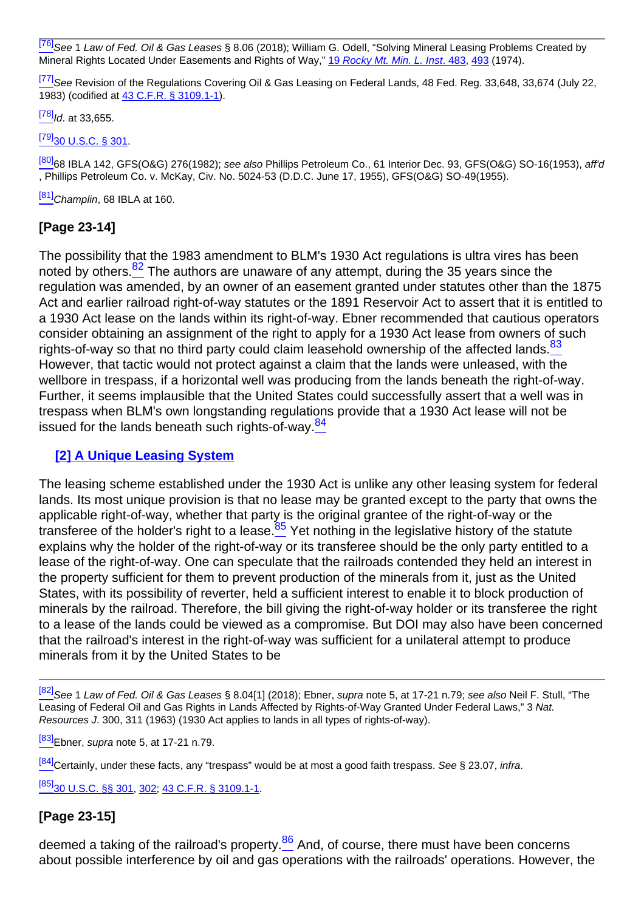<sup>[\[76\]](#page-9-3)</sup>See 1 Law of Fed. Oil & Gas Leases § 8.06 (2018); William G. Odell, "Solving Mineral Leasing Problems Created by Mineral Rights Located Under Easements and Rights of Way," [19](http://beta2livermmlf.casemakerlibra.com/home/http://rmmlf.casemakerlibra.com/home/libra_2_rmmlf.aspx?doc=d:/data/RMMLF/Samples/19%20Rocky%20Mt.%20Min.%20L.%20Inst.%20(1974)//Chapter%2018%20SOLVING.htmampcurdoc=20ampp=12220#page483) [R](http://beta2livermmlf.casemakerlibra.com/home/http://rmmlf.casemakerlibra.com/home/libra_2_rmmlf.aspx?doc=d:/data/RMMLF/Samples/19%20Rocky%20Mt.%20Min.%20L.%20Inst.%20(1974)//Chapter%2018%20SOLVING.htmampcurdoc=20ampp=12220#page483)ocky Mt. Min. L. Inst[. 483](http://beta2livermmlf.casemakerlibra.com/home/http://rmmlf.casemakerlibra.com/home/libra_2_rmmlf.aspx?doc=d:/data/RMMLF/Samples/19%20Rocky%20Mt.%20Min.%20L.%20Inst.%20(1974)//Chapter%2018%20SOLVING.htmampcurdoc=20ampp=12220#page483), [493](http://beta2livermmlf.casemakerlibra.com/home/http://rmmlf.casemakerlibra.com/home/libra_2_rmmlf.aspx?doc=d:/data/RMMLF/Samples/19%20Rocky%20Mt.%20Min.%20L.%20Inst.%20(1974)//Chapter%2018%20SOLVING.htmampcurdoc=20ampp=12220#page493) (1974).

<sup>[\[77\]](#page-9-4)</sup>See Revision of the Regulations Covering Oil & Gas Leasing on Federal Lands, 48 Fed. Reg. 33,648, 33,674 (July 22, 1983) (codified at [43 C.F.R. § 3109.1-1](http://links.casemakerlegal.com/federal/US/books/Code_of_Federal_Regulations/browse?codesec=3109.1-1amptitle=43ampci=45ampfn=Vol%2064%20Rocky%20Mt.%20Min.%20L.%20Inst.%20(2018))).

 $^{[78]}$  $^{[78]}$  $^{[78]}$ Id. at 33,655.

[\[79\]](#page-9-6)[30 U.S.C. § 301.](http://links.casemakerlegal.com/federal/US/books/United_States_Code/browse?codesec=301amptitle=30ampci=45ampfn=Vol%2064%20Rocky%20Mt.%20Min.%20L.%20Inst.%20(2018))

[\[80\]](#page-9-7)68 IBLA 142, GFS(O&G) 276(1982); see also Phillips Petroleum Co., 61 Interior Dec. 93, GFS(O&G) SO-16(1953), aff'd , Phillips Petroleum Co. v. McKay, Civ. No. 5024-53 (D.D.C. June 17, 1955), GFS(O&G) SO-49(1955).

 $[81]$ Champlin, 68 IBLA at 160.

### **[Page 23-14]**

<span id="page-10-1"></span><span id="page-10-0"></span>The possibility that the 1983 amendment to BLM's 1930 Act regulations is ultra vires has been noted by others.<sup>82</sup> The authors are unaware of any attempt, during the 35 years since the regulation was amended, by an owner of an easement granted under statutes other than the 1875 Act and earlier railroad right-of-way statutes or the 1891 Reservoir Act to assert that it is entitled to a 1930 Act lease on the lands within its right-of-way. Ebner recommended that cautious operators consider obtaining an assignment of the right to apply for a 1930 Act lease from owners of such rights-of-way so that no third party could claim leasehold ownership of the affected lands.<sup>83</sup> However, that tactic would not protect against a claim that the lands were unleased, with the wellbore in trespass, if a horizontal well was producing from the lands beneath the right-of-way. Further, it seems implausible that the United States could successfully assert that a well was in trespass when BLM's own longstanding regulations provide that a 1930 Act lease will not be issued for the lands beneath such rights-of-way.<sup>84</sup>

#### <span id="page-10-2"></span>**[2] A Unique Leasing System**

<span id="page-10-3"></span>The leasing scheme established under the 1930 Act is unlike any other leasing system for federal lands. Its most unique provision is that no lease may be granted except to the party that owns the applicable right-of-way, whether that party is the original grantee of the right-of-way or the transferee of the holder's right to a lease.  $85$  Yet nothing in the legislative history of the statute explains why the holder of the right-of-way or its transferee should be the only party entitled to a lease of the right-of-way. One can speculate that the railroads contended they held an interest in the property sufficient for them to prevent production of the minerals from it, just as the United States, with its possibility of reverter, held a sufficient interest to enable it to block production of minerals by the railroad. Therefore, the bill giving the right-of-way holder or its transferee the right to a lease of the lands could be viewed as a compromise. But DOI may also have been concerned that the railroad's interest in the right-of-way was sufficient for a unilateral attempt to produce minerals from it by the United States to be

[\[82\]](#page-10-0) See 1 Law of Fed. Oil & Gas Leases § 8.04[1] (2018); Ebner, supra note 5, at 17-21 n.79; see also Neil F. Stull, "The Leasing of Federal Oil and Gas Rights in Lands Affected by Rights-of-Way Granted Under Federal Laws." 3 Nat. Resources J. 300, 311 (1963) (1930 Act applies to lands in all types of rights-of-way).

 $^{[83]}$  $^{[83]}$  $^{[83]}$ Ebner, supra note 5, at 17-21 n.79.

[\[84\]](#page-10-2)Certainly, under these facts, any "trespass" would be at most a good faith trespass. See § 23.07, infra.

[\[85\]](#page-10-3)[30 U.S.C. §§ 301](http://links.casemakerlegal.com/federal/US/books/United_States_Code/browse?codesec=301amptitle=30ampci=45ampfn=Vol%2064%20Rocky%20Mt.%20Min.%20L.%20Inst.%20(2018)), [302;](http://links.casemakerlegal.com/federal/US/books/United_States_Code/browse?codesec=302amptitle=30ampci=45ampfn=Vol%2064%20Rocky%20Mt.%20Min.%20L.%20Inst.%20(2018)) [43 C.F.R. § 3109.1-1.](http://links.casemakerlegal.com/federal/US/books/Code_of_Federal_Regulations/browse?codesec=3109.1-1amptitle=43ampci=45ampfn=Vol%2064%20Rocky%20Mt.%20Min.%20L.%20Inst.%20(2018))

#### **[Page 23-15]**

<span id="page-10-4"></span>deemed a taking of the railroad's property. $\frac{86}{5}$  And, of course, there must have been concerns about possible interference by oil and gas operations with the railroads' operations. However, the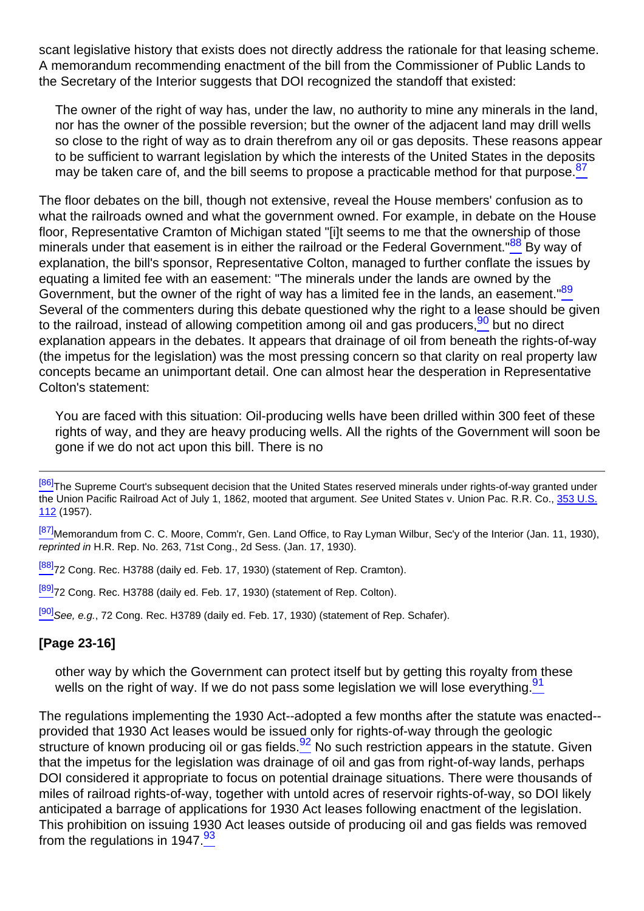scant legislative history that exists does not directly address the rationale for that leasing scheme. A memorandum recommending enactment of the bill from the Commissioner of Public Lands to the Secretary of the Interior suggests that DOI recognized the standoff that existed:

The owner of the right of way has, under the law, no authority to mine any minerals in the land, nor has the owner of the possible reversion; but the owner of the adjacent land may drill wells so close to the right of way as to drain therefrom any oil or gas deposits. These reasons appear to be sufficient to warrant legislation by which the interests of the United States in the deposits may be taken care of, and the bill seems to propose a practicable method for that purpose.  $87$ 

<span id="page-11-2"></span><span id="page-11-1"></span><span id="page-11-0"></span>The floor debates on the bill, though not extensive, reveal the House members' confusion as to what the railroads owned and what the government owned. For example, in debate on the House floor, Representative Cramton of Michigan stated "[i]t seems to me that the ownership of those minerals under that easement is in either the railroad or the Federal Government. $\frac{88}{5}$  By way of explanation, the bill's sponsor, Representative Colton, managed to further conflate the issues by equating a limited fee with an easement: "The minerals under the lands are owned by the Government, but the owner of the right of way has a limited fee in the lands, an easement." $\frac{89}{6}$ Several of the commenters during this debate questioned why the right to a lease should be given to the railroad, instead of allowing competition among oil and gas producers,  $90$  but no direct explanation appears in the debates. It appears that drainage of oil from beneath the rights-of-way (the impetus for the legislation) was the most pressing concern so that clarity on real property law concepts became an unimportant detail. One can almost hear the desperation in Representative Colton's statement:

<span id="page-11-3"></span>You are faced with this situation: Oil-producing wells have been drilled within 300 feet of these rights of way, and they are heavy producing wells. All the rights of the Government will soon be gone if we do not act upon this bill. There is no

<sup>[\[87\]](#page-11-0)</sup>Memorandum from C. C. Moore, Comm'r, Gen. Land Office, to Ray Lyman Wilbur, Sec'y of the Interior (Jan. 11, 1930), reprinted in H.R. Rep. No. 263, 71st Cong., 2d Sess. (Jan. 17, 1930).

[\[88\]](#page-11-1)<sub>72</sub> Cong. Rec. H3788 (daily ed. Feb. 17, 1930) (statement of Rep. Cramton).

[\[89\]](#page-11-2)<sub>72</sub> Cong. Rec. H3788 (daily ed. Feb. 17, 1930) (statement of Rep. Colton).

[\[90\]](#page-11-3) See, e.g., 72 Cong. Rec. H3789 (daily ed. Feb. 17, 1930) (statement of Rep. Schafer).

### <span id="page-11-4"></span>**[Page 23-16]**

other way by which the Government can protect itself but by getting this royalty from these wells on the right of way. If we do not pass some legislation we will lose everything. $\frac{91}{1}$ 

<span id="page-11-6"></span><span id="page-11-5"></span>The regulations implementing the 1930 Act--adopted a few months after the statute was enacted- provided that 1930 Act leases would be issued only for rights-of-way through the geologic structure of known producing oil or gas fields. $\frac{92}{2}$  No such restriction appears in the statute. Given that the impetus for the legislation was drainage of oil and gas from right-of-way lands, perhaps DOI considered it appropriate to focus on potential drainage situations. There were thousands of miles of railroad rights-of-way, together with untold acres of reservoir rights-of-way, so DOI likely anticipated a barrage of applications for 1930 Act leases following enactment of the legislation. This prohibition on issuing 1930 Act leases outside of producing oil and gas fields was removed from the regulations in 1947. $\frac{93}{6}$ 

[<sup>\[86\]</sup>](#page-10-4)The Supreme Court's subsequent decision that the United States reserved minerals under rights-of-way granted under the Union Pacific Railroad Act of July 1, 1862, mooted that argument. See United States v. Union Pac. R.R. Co., [353 U.S.](http://links.casemakerlegal.com/books/Case_Law/results?ci=45ampsearch[Cite]=353+U.S.+112ampfn=Vol%2064%20Rocky%20Mt.%20Min.%20L.%20Inst.%20(2018)) [112](http://links.casemakerlegal.com/books/Case_Law/results?ci=45ampsearch[Cite]=353+U.S.+112ampfn=Vol%2064%20Rocky%20Mt.%20Min.%20L.%20Inst.%20(2018)) (1957).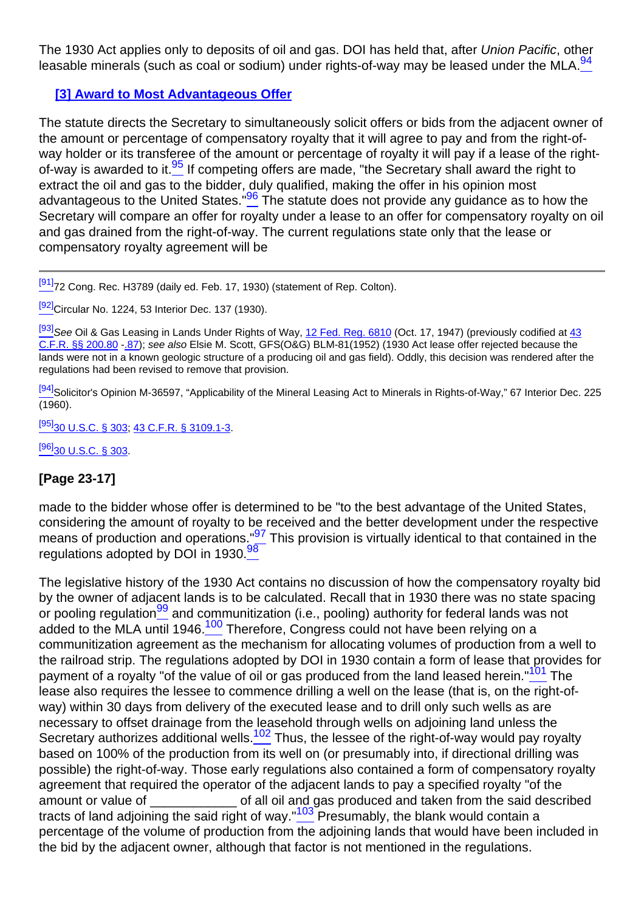<span id="page-12-0"></span>The 1930 Act applies only to deposits of oil and gas. DOI has held that, after Union Pacific, other leasable minerals (such as coal or sodium) under rights-of-way may be leased under the MLA.  $94$ 

### **[3] Award to Most Advantageous Offer**

<span id="page-12-2"></span><span id="page-12-1"></span>The statute directs the Secretary to simultaneously solicit offers or bids from the adjacent owner of the amount or percentage of compensatory royalty that it will agree to pay and from the right-ofway holder or its transferee of the amount or percentage of royalty it will pay if a lease of the rightof-way is awarded to it.<sup>95</sup> If competing offers are made, "the Secretary shall award the right to extract the oil and gas to the bidder, duly qualified, making the offer in his opinion most advantageous to the United States.  $\frac{96}{5}$  The statute does not provide any guidance as to how the Secretary will compare an offer for royalty under a lease to an offer for compensatory royalty on oil and gas drained from the right-of-way. The current regulations state only that the lease or compensatory royalty agreement will be

[\[91\]](#page-11-4)<sub>72</sub> Cong. Rec. H3789 (daily ed. Feb. 17, 1930) (statement of Rep. Colton).

[\[92\]](#page-11-5) Circular No. 1224, 53 Interior Dec. 137 (1930).

<sup>[\[93\]](#page-11-6)</sup>See Oil & Gas Leasing in Lands Under Rights of Way, [12 Fed. Reg. 6810](http://demolinks.casemakerlegal.com/federalregister/results?frcite=12%20FR%206810ampci=45ampfn=Vol%2064%20Rocky%20Mt.%20Min.%20L.%20Inst.%20(2018)) (Oct. 17, 1947) (previously codified at [43](http://links.casemakerlegal.com/federal/US/books/Code_of_Federal_Regulations/browse?codesec=200.80amptitle=43ampci=45ampfn=Vol%2064%20Rocky%20Mt.%20Min.%20L.%20Inst.%20(2018)) [C.F.R. §§ 200.80](http://links.casemakerlegal.com/federal/US/books/Code_of_Federal_Regulations/browse?codesec=200.80amptitle=43ampci=45ampfn=Vol%2064%20Rocky%20Mt.%20Min.%20L.%20Inst.%20(2018)) -[.87](http://links.casemakerlegal.com/federal/US/books/Code_of_Federal_Regulations/browse?codesec=200.87amptitle=43ampci=45ampfn=Vol%2064%20Rocky%20Mt.%20Min.%20L.%20Inst.%20(2018))); see also Elsie M. Scott, GFS(O&G) BLM-81(1952) (1930 Act lease offer rejected because the lands were not in a known geologic structure of a producing oil and gas field). Oddly, this decision was rendered after the regulations had been revised to remove that provision.

[\[94\]](#page-12-0)Solicitor's Opinion M-36597, "Applicability of the Mineral Leasing Act to Minerals in Rights-of-Way," 67 Interior Dec. 225 (1960).

[\[95\]](#page-12-1)[30 U.S.C. § 303;](http://links.casemakerlegal.com/federal/US/books/United_States_Code/browse?codesec=303amptitle=30ampci=45ampfn=Vol%2064%20Rocky%20Mt.%20Min.%20L.%20Inst.%20(2018)) [43 C.F.R. § 3109.1-3.](http://links.casemakerlegal.com/federal/US/books/Code_of_Federal_Regulations/browse?codesec=3109.1-3amptitle=43ampci=45ampfn=Vol%2064%20Rocky%20Mt.%20Min.%20L.%20Inst.%20(2018))

 $[96]$ [30 U.S.C. § 303.](http://links.casemakerlegal.com/federal/US/books/United_States_Code/browse?codesec=303amptitle=30ampci=45ampfn=Vol%2064%20Rocky%20Mt.%20Min.%20L.%20Inst.%20(2018))

# **[Page 23-17]**

<span id="page-12-4"></span><span id="page-12-3"></span>made to the bidder whose offer is determined to be "to the best advantage of the United States, considering the amount of royalty to be received and the better development under the respective means of production and operations."<sup>97</sup> This provision is virtually identical to that contained in the regulations adopted by DOI in 1930.<sup>98</sup>

<span id="page-12-9"></span><span id="page-12-8"></span><span id="page-12-7"></span><span id="page-12-6"></span><span id="page-12-5"></span>The legislative history of the 1930 Act contains no discussion of how the compensatory royalty bid by the owner of adjacent lands is to be calculated. Recall that in 1930 there was no state spacing or pooling regulation<sup>99</sup> and communitization (i.e., pooling) authority for federal lands was not added to the MLA until 1946.<sup>100</sup> Therefore, Congress could not have been relying on a communitization agreement as the mechanism for allocating volumes of production from a well to the railroad strip. The regulations adopted by DOI in 1930 contain a form of lease that provides for payment of a royalty "of the value of oil or gas produced from the land leased herein."<sup>101</sup> The lease also requires the lessee to commence drilling a well on the lease (that is, on the right-ofway) within 30 days from delivery of the executed lease and to drill only such wells as are necessary to offset drainage from the leasehold through wells on adjoining land unless the Secretary authorizes additional wells.<sup>102</sup> Thus, the lessee of the right-of-way would pay royalty based on 100% of the production from its well on (or presumably into, if directional drilling was possible) the right-of-way. Those early regulations also contained a form of compensatory royalty agreement that required the operator of the adjacent lands to pay a specified royalty "of the amount or value of  $\qquad \qquad$  of all oil and gas produced and taken from the said described tracts of land adjoining the said right of way." $103$  Presumably, the blank would contain a percentage of the volume of production from the adjoining lands that would have been included in the bid by the adjacent owner, although that factor is not mentioned in the regulations.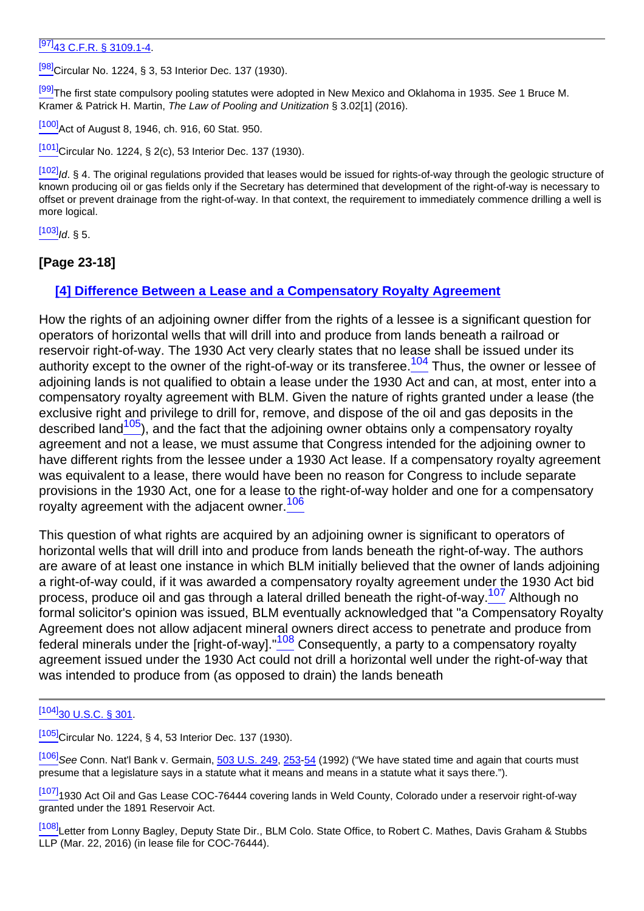### $\overline{[97]}$  $\overline{[97]}$  $\overline{[97]}$ [43 C.F.R. § 3109.1-4](http://links.casemakerlegal.com/federal/US/books/Code_of_Federal_Regulations/browse?codesec=3109.1-4amptitle=43ampci=45ampfn=Vol%2064%20Rocky%20Mt.%20Min.%20L.%20Inst.%20(2018)).

[\[98\]](#page-12-4)Circular No. 1224, § 3, 53 Interior Dec. 137 (1930).

[\[99\]](#page-12-5)The first state compulsory pooling statutes were adopted in New Mexico and Oklahoma in 1935. See 1 Bruce M. Kramer & Patrick H. Martin, The Law of Pooling and Unitization § 3.02[1] (2016).

[\[100\]](#page-12-6)Act of August 8, 1946, ch. 916, 60 Stat. 950.

[\[101\]](#page-12-7)Circular No. 1224, § 2(c), 53 Interior Dec. 137 (1930).

[\[102\]](#page-12-8) Id. § 4. The original regulations provided that leases would be issued for rights-of-way through the geologic structure of known producing oil or gas fields only if the Secretary has determined that development of the right-of-way is necessary to offset or prevent drainage from the right-of-way. In that context, the requirement to immediately commence drilling a well is more logical.

 $[103]$ Id. § 5.

#### **[Page 23-18]**

#### **[4] Difference Between a Lease and a Compensatory Royalty Agreement**

<span id="page-13-1"></span><span id="page-13-0"></span>How the rights of an adjoining owner differ from the rights of a lessee is a significant question for operators of horizontal wells that will drill into and produce from lands beneath a railroad or reservoir right-of-way. The 1930 Act very clearly states that no lease shall be issued under its authority except to the owner of the right-of-way or its transferee.<sup>104</sup> Thus, the owner or lessee of adjoining lands is not qualified to obtain a lease under the 1930 Act and can, at most, enter into a compensatory royalty agreement with BLM. Given the nature of rights granted under a lease (the exclusive right and privilege to drill for, remove, and dispose of the oil and gas deposits in the described land $105$ ), and the fact that the adjoining owner obtains only a compensatory royalty agreement and not a lease, we must assume that Congress intended for the adjoining owner to have different rights from the lessee under a 1930 Act lease. If a compensatory royalty agreement was equivalent to a lease, there would have been no reason for Congress to include separate provisions in the 1930 Act, one for a lease to the right-of-way holder and one for a compensatory royalty agreement with the adjacent owner.<sup>106</sup>

<span id="page-13-3"></span><span id="page-13-2"></span>This question of what rights are acquired by an adjoining owner is significant to operators of horizontal wells that will drill into and produce from lands beneath the right-of-way. The authors are aware of at least one instance in which BLM initially believed that the owner of lands adjoining a right-of-way could, if it was awarded a compensatory royalty agreement under the 1930 Act bid process, produce oil and gas through a lateral drilled beneath the right-of-way.<sup>107</sup> Although no formal solicitor's opinion was issued, BLM eventually acknowledged that "a Compensatory Royalty Agreement does not allow adjacent mineral owners direct access to penetrate and produce from federal minerals under the [right-of-way].  $108$  Consequently, a party to a compensatory royalty agreement issued under the 1930 Act could not drill a horizontal well under the right-of-way that was intended to produce from (as opposed to drain) the lands beneath

 $[105]$ Circular No. 1224, § 4, 53 Interior Dec. 137 (1930).

[\[106\]](#page-13-2) See Conn. Nat'l Bank v. Germain, [503 U.S. 249,](http://links.casemakerlegal.com/books/Case_Law/results?ci=45ampsearch[Cite]=503+U.S.+249ampfn=Vol%2064%20Rocky%20Mt.%20Min.%20L.%20Inst.%20(2018)) [253](http://links.casemakerlegal.com/books/Case_Law/results?ci=45ampsearch[Cite]=503+U.S.+253#page253ampfn=Vol%2064%20Rocky%20Mt.%20Min.%20L.%20Inst.%20(2018))[-54](http://links.casemakerlegal.com/books/Case_Law/results?ci=45ampsearch[Cite]=503+U.S.+254#page254ampfn=Vol%2064%20Rocky%20Mt.%20Min.%20L.%20Inst.%20(2018)) (1992) ("We have stated time and again that courts must presume that a legislature says in a statute what it means and means in a statute what it says there.").

[\[107\]](#page-13-3)<sub>1930</sub> Act Oil and Gas Lease COC-76444 covering lands in Weld County, Colorado under a reservoir right-of-way granted under the 1891 Reservoir Act.

[\[108\]](#page-13-4)Letter from Lonny Bagley, Deputy State Dir., BLM Colo. State Office, to Robert C. Mathes, Davis Graham & Stubbs LLP (Mar. 22, 2016) (in lease file for COC-76444).

<span id="page-13-4"></span>[<sup>\[104\]</sup>](#page-13-0)[30 U.S.C. § 301](http://links.casemakerlegal.com/federal/US/books/United_States_Code/browse?codesec=301amptitle=30ampci=45ampfn=Vol%2064%20Rocky%20Mt.%20Min.%20L.%20Inst.%20(2018)).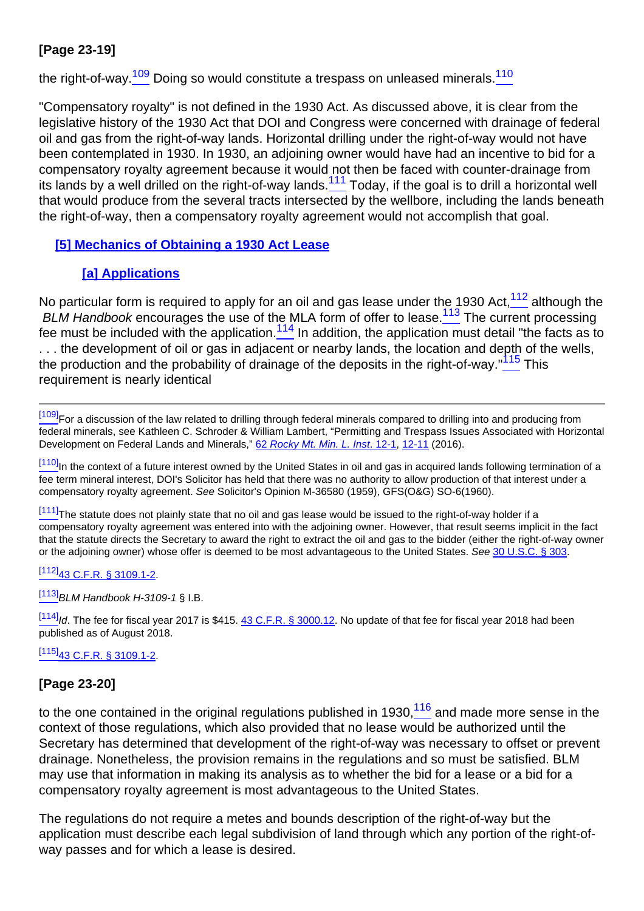# **[Page 23-19]**

<span id="page-14-0"></span>the right-of-way.<sup>109</sup> Doing so would constitute a trespass on unleased minerals.<sup>110</sup>

<span id="page-14-1"></span>"Compensatory royalty" is not defined in the 1930 Act. As discussed above, it is clear from the legislative history of the 1930 Act that DOI and Congress were concerned with drainage of federal oil and gas from the right-of-way lands. Horizontal drilling under the right-of-way would not have been contemplated in 1930. In 1930, an adjoining owner would have had an incentive to bid for a compensatory royalty agreement because it would not then be faced with counter-drainage from its lands by a well drilled on the right-of-way lands.<sup>111</sup> Today, if the goal is to drill a horizontal well that would produce from the several tracts intersected by the wellbore, including the lands beneath the right-of-way, then a compensatory royalty agreement would not accomplish that goal.

### **[5] Mechanics of Obtaining a 1930 Act Lease**

# **[a] Applications**

<span id="page-14-5"></span><span id="page-14-4"></span><span id="page-14-3"></span><span id="page-14-2"></span>No particular form is required to apply for an oil and gas lease under the 1930 Act,  $\frac{112}{12}$  although the BLM Handbook encourages the use of the MLA form of offer to lease.<sup>113</sup> The current processing fee must be included with the application.<sup>114</sup> In addition, the application must detail "the facts as to . . . the development of oil or gas in adjacent or nearby lands, the location and depth of the wells, the production and the probability of drainage of the deposits in the right-of-way."<sup>115</sup> This requirement is nearly identical

<sup>[\[109\]](#page-14-0)</sup>For a discussion of the law related to drilling through federal minerals compared to drilling into and producing from federal minerals, see Kathleen C. Schroder & William Lambert, "Permitting and Trespass Issues Associated with Horizontal Development on Federal Lands and Minerals," [62](http://beta2livermmlf.casemakerlibra.com/home/http://rmmlf.casemakerlibra.com/home/libra_2_rmmlf.aspx?doc=d:/data/RMMLF/Samples/Vol%2062%20Rocky%20Mt.%20Min.%20L.%20Inst.%20(2016)//Chapter%2012.htmampcurdoc=13ampp=12255) Rocky Mt. Min. L. Inst[. 12-1](http://beta2livermmlf.casemakerlibra.com/home/http://rmmlf.casemakerlibra.com/home/libra_2_rmmlf.aspx?doc=d:/data/RMMLF/Samples/Vol%2062%20Rocky%20Mt.%20Min.%20L.%20Inst.%20(2016)//Chapter%2012.htmampcurdoc=13ampp=12255), [12-11](http://beta2livermmlf.casemakerlibra.com/home/http://rmmlf.casemakerlibra.com/home/libra_2_rmmlf.aspx?doc=d:/data/RMMLF/Samples/Vol%2062%20Rocky%20Mt.%20Min.%20L.%20Inst.%20(2016)//Chapter%2012.htmampcurdoc=13ampp=12255#page11) (2016).

[\[110\]](#page-14-0)<sub>In the context of a future interest owned by the United States in oil and gas in acquired lands following termination of a</sub> fee term mineral interest, DOI's Solicitor has held that there was no authority to allow production of that interest under a compensatory royalty agreement. See Solicitor's Opinion M-36580 (1959), GFS(O&G) SO-6(1960).

 $\frac{[111]}{]}$  $\frac{[111]}{]}$  $\frac{[111]}{]}$ The statute does not plainly state that no oil and gas lease would be issued to the right-of-way holder if a compensatory royalty agreement was entered into with the adjoining owner. However, that result seems implicit in the fact that the statute directs the Secretary to award the right to extract the oil and gas to the bidder (either the right-of-way owner or the adjoining owner) whose offer is deemed to be most advantageous to the United States. See [30 U.S.C. § 303.](http://links.casemakerlegal.com/federal/US/books/United_States_Code/browse?codesec=303amptitle=30ampci=45ampfn=Vol%2064%20Rocky%20Mt.%20Min.%20L.%20Inst.%20(2018))

#### $[112]$ [43 C.F.R. § 3109.1-2.](http://links.casemakerlegal.com/federal/US/books/Code_of_Federal_Regulations/browse?codesec=3109.1-2amptitle=43ampci=45ampfn=Vol%2064%20Rocky%20Mt.%20Min.%20L.%20Inst.%20(2018))

 $[113]$ BLM Handbook H-3109-1 § I.B.

 $\frac{[114]}{1}$  $\frac{[114]}{1}$  $\frac{[114]}{1}$ ld. The fee for fiscal year 2017 is \$415.  $43$  C.F.R. § 3000.12. No update of that fee for fiscal year 2018 had been published as of August 2018.

### $[115]$ [43 C.F.R. § 3109.1-2.](http://links.casemakerlegal.com/federal/US/books/Code_of_Federal_Regulations/browse?codesec=3109.1-2amptitle=43ampci=45ampfn=Vol%2064%20Rocky%20Mt.%20Min.%20L.%20Inst.%20(2018))

# **[Page 23-20]**

<span id="page-14-6"></span>to the one contained in the original regulations published in 1930,  $116$  and made more sense in the context of those regulations, which also provided that no lease would be authorized until the Secretary has determined that development of the right-of-way was necessary to offset or prevent drainage. Nonetheless, the provision remains in the regulations and so must be satisfied. BLM may use that information in making its analysis as to whether the bid for a lease or a bid for a compensatory royalty agreement is most advantageous to the United States.

The regulations do not require a metes and bounds description of the right-of-way but the application must describe each legal subdivision of land through which any portion of the right-ofway passes and for which a lease is desired.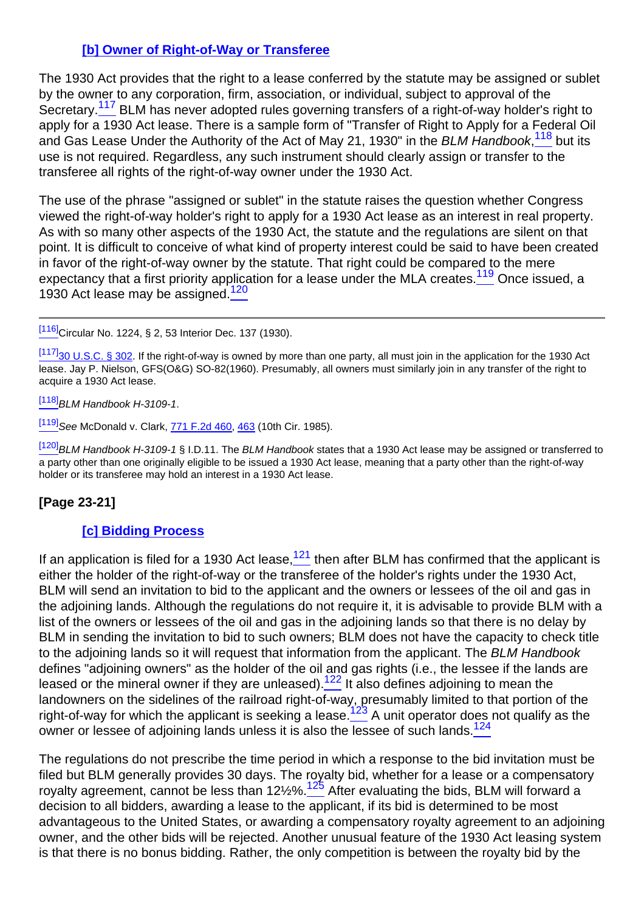# **[b] Owner of Right-of-Way or Transferee**

<span id="page-15-1"></span><span id="page-15-0"></span>The 1930 Act provides that the right to a lease conferred by the statute may be assigned or sublet by the owner to any corporation, firm, association, or individual, subject to approval of the Secretary.<sup>117</sup> BLM has never adopted rules governing transfers of a right-of-way holder's right to apply for a 1930 Act lease. There is a sample form of "Transfer of Right to Apply for a Federal Oil and Gas Lease Under the Authority of the Act of May 21, 1930" in the BLM Handbook, <sup>118</sup> but its use is not required. Regardless, any such instrument should clearly assign or transfer to the transferee all rights of the right-of-way owner under the 1930 Act.

<span id="page-15-2"></span>The use of the phrase "assigned or sublet" in the statute raises the question whether Congress viewed the right-of-way holder's right to apply for a 1930 Act lease as an interest in real property. As with so many other aspects of the 1930 Act, the statute and the regulations are silent on that point. It is difficult to conceive of what kind of property interest could be said to have been created in favor of the right-of-way owner by the statute. That right could be compared to the mere expectancy that a first priority application for a lease under the MLA creates.<sup>119</sup> Once issued, a 1930 Act lease may be assigned. $\frac{120}{2}$ 

<span id="page-15-3"></span>[\[116\]](#page-14-6)Circular No. 1224, § 2, 53 Interior Dec. 137 (1930).

 $\frac{[117]}{30}$  $\frac{[117]}{30}$  $\frac{[117]}{30}$  U.S.C. § 302. If the right-of-way is owned by more than one party, all must join in the application for the 1930 Act lease. Jay P. Nielson, GFS(O&G) SO-82(1960). Presumably, all owners must similarly join in any transfer of the right to acquire a 1930 Act lease.

 $[118]$ BLM Handbook H-3109-1.

[\[119\]](#page-15-2) See McDonald v. Clark, [771 F.2d 460](http://links.casemakerlegal.com/books/Case_Law/results?ci=45ampsearch[Cite]=771+F.2d+460ampfn=Vol%2064%20Rocky%20Mt.%20Min.%20L.%20Inst.%20(2018)), [463](http://links.casemakerlegal.com/books/Case_Law/results?ci=45ampsearch[Cite]=771+F.2d+463#page463ampfn=Vol%2064%20Rocky%20Mt.%20Min.%20L.%20Inst.%20(2018)) (10th Cir. 1985).

[\[120\]](#page-15-3) BLM Handbook H-3109-1 § I.D.11. The BLM Handbook states that a 1930 Act lease may be assigned or transferred to a party other than one originally eligible to be issued a 1930 Act lease, meaning that a party other than the right-of-way holder or its transferee may hold an interest in a 1930 Act lease.

# **[Page 23-21]**

#### **[c] Bidding Process**

<span id="page-15-4"></span>If an application is filed for a 1930 Act lease, $\frac{121}{21}$  then after BLM has confirmed that the applicant is either the holder of the right-of-way or the transferee of the holder's rights under the 1930 Act, BLM will send an invitation to bid to the applicant and the owners or lessees of the oil and gas in the adjoining lands. Although the regulations do not require it, it is advisable to provide BLM with a list of the owners or lessees of the oil and gas in the adjoining lands so that there is no delay by BLM in sending the invitation to bid to such owners; BLM does not have the capacity to check title to the adjoining lands so it will request that information from the applicant. The BLM Handbook defines "adjoining owners" as the holder of the oil and gas rights (i.e., the lessee if the lands are leased or the mineral owner if they are unleased).<sup>122</sup> It also defines adjoining to mean the landowners on the sidelines of the railroad right-of-way, presumably limited to that portion of the right-of-way for which the applicant is seeking a lease.<sup>123</sup> A unit operator does not qualify as the owner or lessee of adjoining lands unless it is also the lessee of such lands.<sup>124</sup>

<span id="page-15-8"></span><span id="page-15-7"></span><span id="page-15-6"></span><span id="page-15-5"></span>The regulations do not prescribe the time period in which a response to the bid invitation must be filed but BLM generally provides 30 days. The royalty bid, whether for a lease or a compensatory royalty agreement, cannot be less than  $12\frac{125}{5}$  After evaluating the bids, BLM will forward a decision to all bidders, awarding a lease to the applicant, if its bid is determined to be most advantageous to the United States, or awarding a compensatory royalty agreement to an adjoining owner, and the other bids will be rejected. Another unusual feature of the 1930 Act leasing system is that there is no bonus bidding. Rather, the only competition is between the royalty bid by the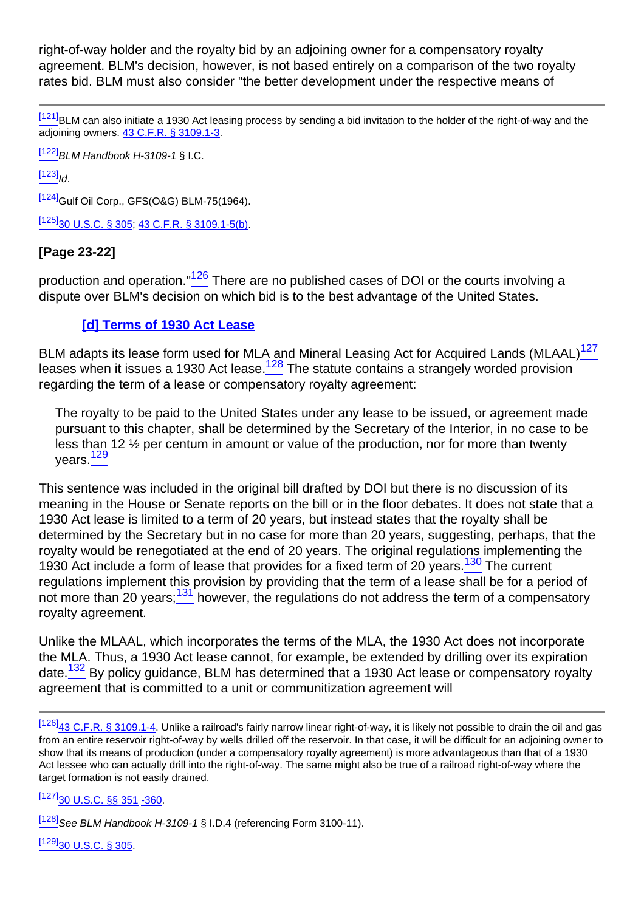right-of-way holder and the royalty bid by an adjoining owner for a compensatory royalty agreement. BLM's decision, however, is not based entirely on a comparison of the two royalty rates bid. BLM must also consider "the better development under the respective means of

[\[121\]](#page-15-4)BLM can also initiate a 1930 Act leasing process by sending a bid invitation to the holder of the right-of-way and the adjoining owners. [43 C.F.R. § 3109.1-3](http://links.casemakerlegal.com/federal/US/books/Code_of_Federal_Regulations/browse?codesec=3109.1-3amptitle=43ampci=45ampfn=Vol%2064%20Rocky%20Mt.%20Min.%20L.%20Inst.%20(2018)).

 $[122]$ BLM Handbook H-3109-1 § I.C.

 $[123]$ <sub>Id</sub>

[\[124\]](#page-15-7)<sub>Gulf</sub> Oil Corp., GFS(O&G) BLM-75(1964).

 $[125]$ [30 U.S.C. § 305](http://links.casemakerlegal.com/federal/US/books/United_States_Code/browse?codesec=305amptitle=30ampci=45ampfn=Vol%2064%20Rocky%20Mt.%20Min.%20L.%20Inst.%20(2018)); [43 C.F.R. § 3109.1-5\(b\)](http://links.casemakerlegal.com/federal/US/books/Code_of_Federal_Regulations/browse?codesec=3109.1-5amptitle=43ampci=45#3109.1-5(b)ampfn=Vol%2064%20Rocky%20Mt.%20Min.%20L.%20Inst.%20(2018)).

### **[Page 23-22]**

<span id="page-16-0"></span>production and operation."<sup>126</sup> There are no published cases of DOI or the courts involving a dispute over BLM's decision on which bid is to the best advantage of the United States.

### **[d] Terms of 1930 Act Lease**

<span id="page-16-2"></span><span id="page-16-1"></span>BLM adapts its lease form used for MLA and Mineral Leasing Act for Acquired Lands (MLAAL)<sup>127</sup> leases when it issues a 1930 Act lease.<sup>128</sup> The statute contains a strangely worded provision regarding the term of a lease or compensatory royalty agreement:

The royalty to be paid to the United States under any lease to be issued, or agreement made pursuant to this chapter, shall be determined by the Secretary of the Interior, in no case to be less than 12 ½ per centum in amount or value of the production, nor for more than twenty years. $\frac{129}{4}$ 

<span id="page-16-4"></span><span id="page-16-3"></span>This sentence was included in the original bill drafted by DOI but there is no discussion of its meaning in the House or Senate reports on the bill or in the floor debates. It does not state that a 1930 Act lease is limited to a term of 20 years, but instead states that the royalty shall be determined by the Secretary but in no case for more than 20 years, suggesting, perhaps, that the royalty would be renegotiated at the end of 20 years. The original regulations implementing the 1930 Act include a form of lease that provides for a fixed term of 20 years.<sup>130</sup> The current regulations implement this provision by providing that the term of a lease shall be for a period of not more than 20 years;<sup>131</sup> however, the regulations do not address the term of a compensatory royalty agreement.

<span id="page-16-6"></span><span id="page-16-5"></span>Unlike the MLAAL, which incorporates the terms of the MLA, the 1930 Act does not incorporate the MLA. Thus, a 1930 Act lease cannot, for example, be extended by drilling over its expiration date.<sup>132</sup> By policy guidance, BLM has determined that a 1930 Act lease or compensatory royalty agreement that is committed to a unit or communitization agreement will

[\[127\]](#page-16-1)<sub>30</sub> U.S.C. §§ 351 [-360.](http://links.casemakerlegal.com/federal/US/books/United_States_Code/browse?codesec=360amptitle=30ampci=45ampfn=Vol%2064%20Rocky%20Mt.%20Min.%20L.%20Inst.%20(2018))

[\[128\]](#page-16-2) See BLM Handbook H-3109-1 § I.D.4 (referencing Form 3100-11).

[\[129\]](#page-16-3)[30 U.S.C. § 305](http://links.casemakerlegal.com/federal/US/books/United_States_Code/browse?codesec=305amptitle=30ampci=45ampfn=Vol%2064%20Rocky%20Mt.%20Min.%20L.%20Inst.%20(2018)).

[<sup>\[126\]</sup>](#page-16-0)<sub>43</sub> C.F.R. § 3109.1-4. Unlike a railroad's fairly narrow linear right-of-way, it is likely not possible to drain the oil and gas from an entire reservoir right-of-way by wells drilled off the reservoir. In that case, it will be difficult for an adjoining owner to show that its means of production (under a compensatory royalty agreement) is more advantageous than that of a 1930 Act lessee who can actually drill into the right-of-way. The same might also be true of a railroad right-of-way where the target formation is not easily drained.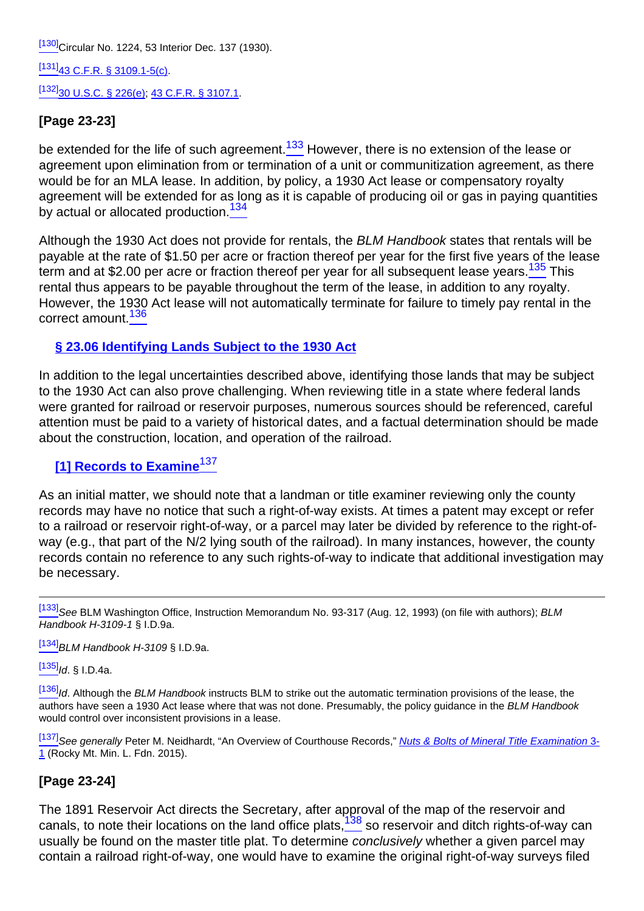[\[130\]](#page-16-4) Circular No. 1224, 53 Interior Dec. 137 (1930).

[\[131\]](#page-16-5)[43 C.F.R. § 3109.1-5\(c\).](http://links.casemakerlegal.com/federal/US/books/Code_of_Federal_Regulations/browse?codesec=3109.1-5amptitle=43ampci=45#3109.1-5(c)ampfn=Vol%2064%20Rocky%20Mt.%20Min.%20L.%20Inst.%20(2018))

 $[132]$ [30 U.S.C. § 226\(e\)](http://links.casemakerlegal.com/federal/US/books/United_States_Code/browse?codesec=226amptitle=30ampci=45#226(e)ampfn=Vol%2064%20Rocky%20Mt.%20Min.%20L.%20Inst.%20(2018)); [43 C.F.R. § 3107.1.](http://links.casemakerlegal.com/federal/US/books/Code_of_Federal_Regulations/browse?codesec=3107.1amptitle=43ampci=45ampfn=Vol%2064%20Rocky%20Mt.%20Min.%20L.%20Inst.%20(2018))

# **[Page 23-23]**

<span id="page-17-1"></span>be extended for the life of such agreement.<sup>133</sup> However, there is no extension of the lease or agreement upon elimination from or termination of a unit or communitization agreement, as there would be for an MLA lease. In addition, by policy, a 1930 Act lease or compensatory royalty agreement will be extended for as long as it is capable of producing oil or gas in paying quantities by actual or allocated production.<sup>134</sup>

<span id="page-17-3"></span><span id="page-17-2"></span>Although the 1930 Act does not provide for rentals, the BLM Handbook states that rentals will be payable at the rate of \$1.50 per acre or fraction thereof per year for the first five years of the lease term and at \$2.00 per acre or fraction thereof per year for all subsequent lease years.<sup>135</sup> This rental thus appears to be payable throughout the term of the lease, in addition to any royalty. However, the 1930 Act lease will not automatically terminate for failure to timely pay rental in the correct amount.<sup>136</sup>

### <span id="page-17-4"></span>**§ 23.06 Identifying Lands Subject to the 1930 Act**

In addition to the legal uncertainties described above, identifying those lands that may be subject to the 1930 Act can also prove challenging. When reviewing title in a state where federal lands were granted for railroad or reservoir purposes, numerous sources should be referenced, careful attention must be paid to a variety of historical dates, and a factual determination should be made about the construction, location, and operation of the railroad.

# <span id="page-17-0"></span>**[1] Records to Examine<sup>137</sup>**

As an initial matter, we should note that a landman or title examiner reviewing only the county records may have no notice that such a right-of-way exists. At times a patent may except or refer to a railroad or reservoir right-of-way, or a parcel may later be divided by reference to the right-ofway (e.g., that part of the N/2 lying south of the railroad). In many instances, however, the county records contain no reference to any such rights-of-way to indicate that additional investigation may be necessary.

[\[133\]](#page-17-1) See BLM Washington Office, Instruction Memorandum No. 93-317 (Aug. 12, 1993) (on file with authors); BLM Handbook H-3109-1 § I.D.9a.

 $^{[134]}$  $^{[134]}$  $^{[134]}$ BLM Handbook H-3109 § I.D.9a.

 $[135]$ Id. § I.D.4a.

[\[136\]](#page-17-4) Id. Although the BLM Handbook instructs BLM to strike out the automatic termination provisions of the lease, the authors have seen a 1930 Act lease where that was not done. Presumably, the policy quidance in the BLM Handbook would control over inconsistent provisions in a lease.

[\[137\]](#page-17-0) See generally Peter M. Neidhardt, "An Overview of Courthouse Records," Nuts & Bolts of Mineral Title Examination [3-](http://beta2livermmlf.casemakerlibra.com/home/http://rmmlf.casemakerlibra.com/home/libra_2_rmmlf.aspx?doc=d:/data/RMMLF/Samples/Nuts%20amper$cnt%20Bolts%20of%20Mineral%20Title%20Examination%20(Apr%202015)//Chapter%203%203-1%20AN.htmampcurdoc=4ampp=12143) [1](http://beta2livermmlf.casemakerlibra.com/home/http://rmmlf.casemakerlibra.com/home/libra_2_rmmlf.aspx?doc=d:/data/RMMLF/Samples/Nuts%20amper$cnt%20Bolts%20of%20Mineral%20Title%20Examination%20(Apr%202015)//Chapter%203%203-1%20AN.htmampcurdoc=4ampp=12143) (Rocky Mt. Min. L. Fdn. 2015).

# **[Page 23-24]**

<span id="page-17-6"></span><span id="page-17-5"></span>The 1891 Reservoir Act directs the Secretary, after approval of the map of the reservoir and canals, to note their locations on the land office plats, $138$  so reservoir and ditch rights-of-way can usually be found on the master title plat. To determine conclusively whether a given parcel may contain a railroad right-of-way, one would have to examine the original right-of-way surveys filed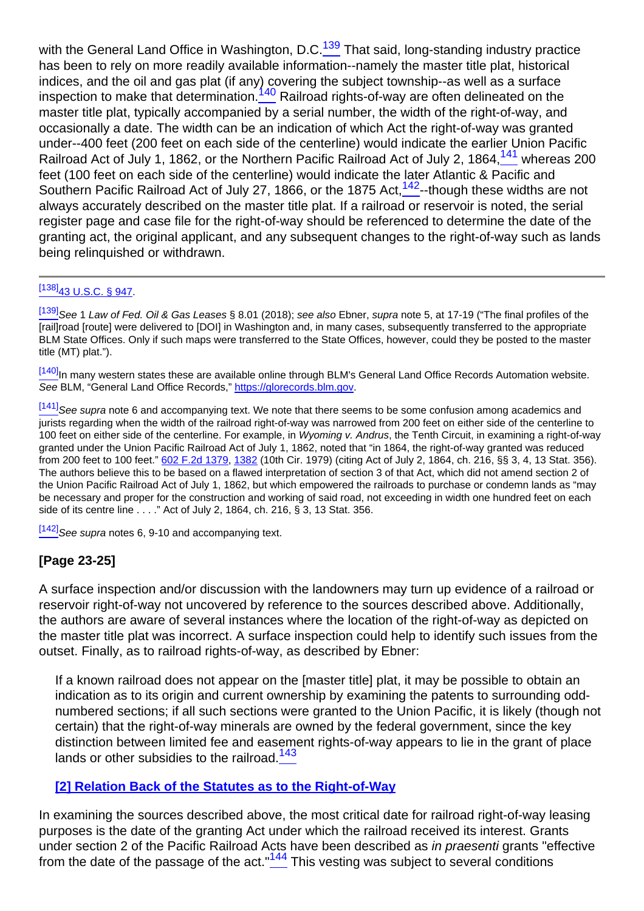<span id="page-18-1"></span><span id="page-18-0"></span>with the General Land Office in Washington, D.C. $139$  That said, long-standing industry practice has been to rely on more readily available information--namely the master title plat, historical indices, and the oil and gas plat (if any) covering the subject township--as well as a surface inspection to make that determination.<sup>140</sup> Railroad rights-of-way are often delineated on the master title plat, typically accompanied by a serial number, the width of the right-of-way, and occasionally a date. The width can be an indication of which Act the right-of-way was granted under--400 feet (200 feet on each side of the centerline) would indicate the earlier Union Pacific Railroad Act of July 1, 1862, or the Northern Pacific Railroad Act of July 2, 1864,  $\frac{141}{141}$  whereas 200 feet (100 feet on each side of the centerline) would indicate the later Atlantic & Pacific and Southern Pacific Railroad Act of July 27, 1866, or the 1875 Act,  $142$ --though these widths are not always accurately described on the master title plat. If a railroad or reservoir is noted, the serial register page and case file for the right-of-way should be referenced to determine the date of the granting act, the original applicant, and any subsequent changes to the right-of-way such as lands being relinquished or withdrawn.

#### <span id="page-18-2"></span> $[138]$ [43 U.S.C. § 947](http://links.casemakerlegal.com/federal/US/books/United_States_Code/browse?codesec=947amptitle=43ampci=45ampfn=Vol%2064%20Rocky%20Mt.%20Min.%20L.%20Inst.%20(2018)).

[\[139\]](#page-17-6) See 1 Law of Fed. Oil & Gas Leases § 8.01 (2018); see also Ebner, supra note 5, at 17-19 ("The final profiles of the [rail]road [route] were delivered to [DOI] in Washington and, in many cases, subsequently transferred to the appropriate BLM State Offices. Only if such maps were transferred to the State Offices, however, could they be posted to the master title (MT) plat.").

[\[140\]](#page-18-0)<sub>In</sub> many western states these are available online through BLM's General Land Office Records Automation website. See BLM, "General Land Office Records," [https://glorecords.blm.gov.](https://glorecords.blm.gov)

[\[141\]](#page-18-1)See supra note 6 and accompanying text. We note that there seems to be some confusion among academics and jurists regarding when the width of the railroad right-of-way was narrowed from 200 feet on either side of the centerline to 100 feet on either side of the centerline. For example, in Wyoming v. Andrus, the Tenth Circuit, in examining a right-of-way granted under the Union Pacific Railroad Act of July 1, 1862, noted that "in 1864, the right-of-way granted was reduced from 200 feet to 100 feet." [602 F.2d 1379](http://links.casemakerlegal.com/books/Case_Law/results?ci=45ampsearch[Cite]=602+F.2d+1379ampfn=Vol%2064%20Rocky%20Mt.%20Min.%20L.%20Inst.%20(2018)), [1382](http://links.casemakerlegal.com/books/Case_Law/results?ci=45ampsearch[Cite]=602+F.2d+1382#page1382ampfn=Vol%2064%20Rocky%20Mt.%20Min.%20L.%20Inst.%20(2018)) (10th Cir. 1979) (citing Act of July 2, 1864, ch. 216, §§ 3, 4, 13 Stat. 356). The authors believe this to be based on a flawed interpretation of section 3 of that Act, which did not amend section 2 of the Union Pacific Railroad Act of July 1, 1862, but which empowered the railroads to purchase or condemn lands as "may be necessary and proper for the construction and working of said road, not exceeding in width one hundred feet on each side of its centre line . . . ." Act of July 2, 1864, ch. 216, § 3, 13 Stat. 356.

 $[142]$ See supra notes 6, 9-10 and accompanying text.

# **[Page 23-25]**

A surface inspection and/or discussion with the landowners may turn up evidence of a railroad or reservoir right-of-way not uncovered by reference to the sources described above. Additionally, the authors are aware of several instances where the location of the right-of-way as depicted on the master title plat was incorrect. A surface inspection could help to identify such issues from the outset. Finally, as to railroad rights-of-way, as described by Ebner:

If a known railroad does not appear on the [master title] plat, it may be possible to obtain an indication as to its origin and current ownership by examining the patents to surrounding oddnumbered sections; if all such sections were granted to the Union Pacific, it is likely (though not certain) that the right-of-way minerals are owned by the federal government, since the key distinction between limited fee and easement rights-of-way appears to lie in the grant of place lands or other subsidies to the railroad.<sup>143</sup>

### <span id="page-18-3"></span>**[2] Relation Back of the Statutes as to the Right-of-Way**

<span id="page-18-4"></span>In examining the sources described above, the most critical date for railroad right-of-way leasing purposes is the date of the granting Act under which the railroad received its interest. Grants under section 2 of the Pacific Railroad Acts have been described as in praesenti grants "effective from the date of the passage of the act." $\frac{144}{100}$  This vesting was subject to several conditions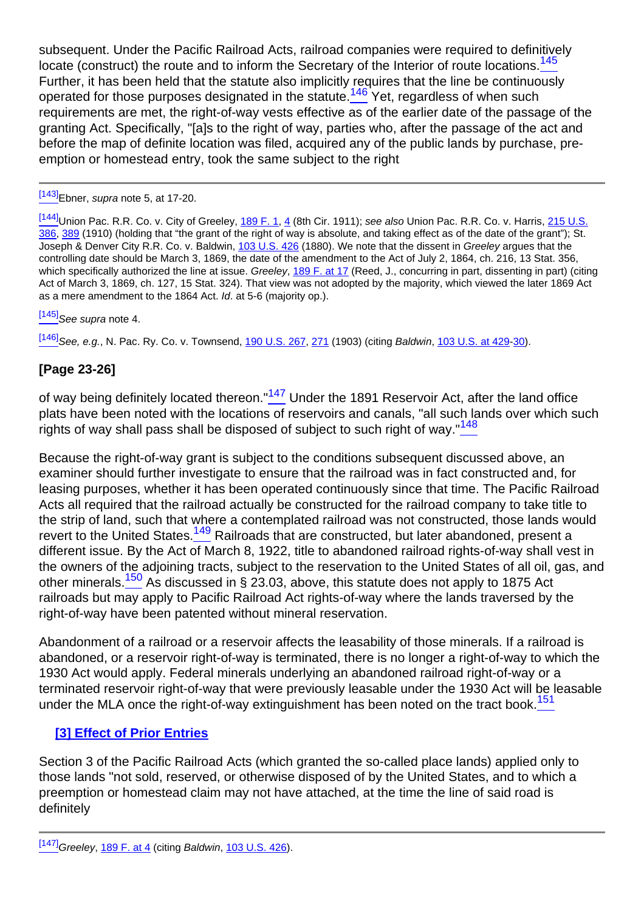<span id="page-19-1"></span><span id="page-19-0"></span>subsequent. Under the Pacific Railroad Acts, railroad companies were required to definitively locate (construct) the route and to inform the Secretary of the Interior of route locations.<sup>145</sup> Further, it has been held that the statute also implicitly requires that the line be continuously operated for those purposes designated in the statute.<sup>146</sup> Yet, regardless of when such requirements are met, the right-of-way vests effective as of the earlier date of the passage of the granting Act. Specifically, "[a]s to the right of way, parties who, after the passage of the act and before the map of definite location was filed, acquired any of the public lands by purchase, preemption or homestead entry, took the same subject to the right

### [\[143\]](#page-18-3)Ebner, supra note 5, at 17-20.

[\[144\]](#page-18-4)Union Pac. R.R. Co. v. City of Greeley, [189 F. 1](http://links.casemakerlegal.com/books/Case_Law/results?ci=45ampsearch[Cite]=189+F.+1ampfn=Vol%2064%20Rocky%20Mt.%20Min.%20L.%20Inst.%20(2018)), [4](http://links.casemakerlegal.com/books/Case_Law/results?ci=45ampsearch[Cite]=189+F.+4#page4ampfn=Vol%2064%20Rocky%20Mt.%20Min.%20L.%20Inst.%20(2018)) (8th Cir. 1911); see also Union Pac. R.R. Co. v. Harris, [215 U.S.](http://links.casemakerlegal.com/books/Case_Law/results?ci=45ampsearch[Cite]=215+U.S.+386ampfn=Vol%2064%20Rocky%20Mt.%20Min.%20L.%20Inst.%20(2018)) [386](http://links.casemakerlegal.com/books/Case_Law/results?ci=45ampsearch[Cite]=215+U.S.+386ampfn=Vol%2064%20Rocky%20Mt.%20Min.%20L.%20Inst.%20(2018)), [389](http://links.casemakerlegal.com/books/Case_Law/results?ci=45ampsearch[Cite]=215+U.S.+389#page389ampfn=Vol%2064%20Rocky%20Mt.%20Min.%20L.%20Inst.%20(2018)) (1910) (holding that "the grant of the right of way is absolute, and taking effect as of the date of the grant"); St. Joseph & Denver City R.R. Co. v. Baldwin, [103 U.S. 426](http://links.casemakerlegal.com/books/Case_Law/results?ci=45ampsearch[Cite]=103+U.S.+426ampfn=Vol%2064%20Rocky%20Mt.%20Min.%20L.%20Inst.%20(2018)) (1880). We note that the dissent in Greeley argues that the controlling date should be March 3, 1869, the date of the amendment to the Act of July 2, 1864, ch. 216, 13 Stat. 356, which specifically authorized the line at issue. Greeley, [189 F. at 17](http://links.casemakerlegal.com/books/Case_Law/results?ci=45ampsearch[Cite]=189+F.+17#page17ampfn=Vol%2064%20Rocky%20Mt.%20Min.%20L.%20Inst.%20(2018)) (Reed, J., concurring in part, dissenting in part) (citing Act of March 3, 1869, ch. 127, 15 Stat. 324). That view was not adopted by the majority, which viewed the later 1869 Act as a mere amendment to the 1864 Act. Id. at 5-6 (majority op.).

 $[145]$ See supra note 4.

[\[146\]](#page-19-1) See, e.g., N. Pac. Ry. Co. v. Townsend, [190 U.S. 267,](http://links.casemakerlegal.com/books/Case_Law/results?ci=45ampsearch[Cite]=190+U.S.+267ampfn=Vol%2064%20Rocky%20Mt.%20Min.%20L.%20Inst.%20(2018)) [271](http://links.casemakerlegal.com/books/Case_Law/results?ci=45ampsearch[Cite]=190+U.S.+271#page271ampfn=Vol%2064%20Rocky%20Mt.%20Min.%20L.%20Inst.%20(2018)) (1903) (citing Baldwin, [103 U.S. at 429-](http://links.casemakerlegal.com/books/Case_Law/results?ci=45ampsearch[Cite]=103+U.S.+429#page429ampfn=Vol%2064%20Rocky%20Mt.%20Min.%20L.%20Inst.%20(2018))[30\)](http://links.casemakerlegal.com/books/Case_Law/results?ci=45ampsearch[Cite]=103+U.S.+430#page430ampfn=Vol%2064%20Rocky%20Mt.%20Min.%20L.%20Inst.%20(2018)).

# **[Page 23-26]**

<span id="page-19-3"></span><span id="page-19-2"></span>of way being definitely located thereon."<sup>147</sup> Under the 1891 Reservoir Act, after the land office plats have been noted with the locations of reservoirs and canals, "all such lands over which such rights of way shall pass shall be disposed of subject to such right of way."<sup>148</sup>

<span id="page-19-4"></span>Because the right-of-way grant is subject to the conditions subsequent discussed above, an examiner should further investigate to ensure that the railroad was in fact constructed and, for leasing purposes, whether it has been operated continuously since that time. The Pacific Railroad Acts all required that the railroad actually be constructed for the railroad company to take title to the strip of land, such that where a contemplated railroad was not constructed, those lands would revert to the United States.<sup>149</sup> Railroads that are constructed, but later abandoned, present a different issue. By the Act of March 8, 1922, title to abandoned railroad rights-of-way shall vest in the owners of the adjoining tracts, subject to the reservation to the United States of all oil, gas, and other minerals.<sup>150</sup> As discussed in § 23.03, above, this statute does not apply to 1875 Act railroads but may apply to Pacific Railroad Act rights-of-way where the lands traversed by the right-of-way have been patented without mineral reservation.

<span id="page-19-6"></span><span id="page-19-5"></span>Abandonment of a railroad or a reservoir affects the leasability of those minerals. If a railroad is abandoned, or a reservoir right-of-way is terminated, there is no longer a right-of-way to which the 1930 Act would apply. Federal minerals underlying an abandoned railroad right-of-way or a terminated reservoir right-of-way that were previously leasable under the 1930 Act will be leasable under the MLA once the right-of-way extinguishment has been noted on the tract book.<sup>151</sup>

### **[3] Effect of Prior Entries**

Section 3 of the Pacific Railroad Acts (which granted the so-called place lands) applied only to those lands "not sold, reserved, or otherwise disposed of by the United States, and to which a preemption or homestead claim may not have attached, at the time the line of said road is definitely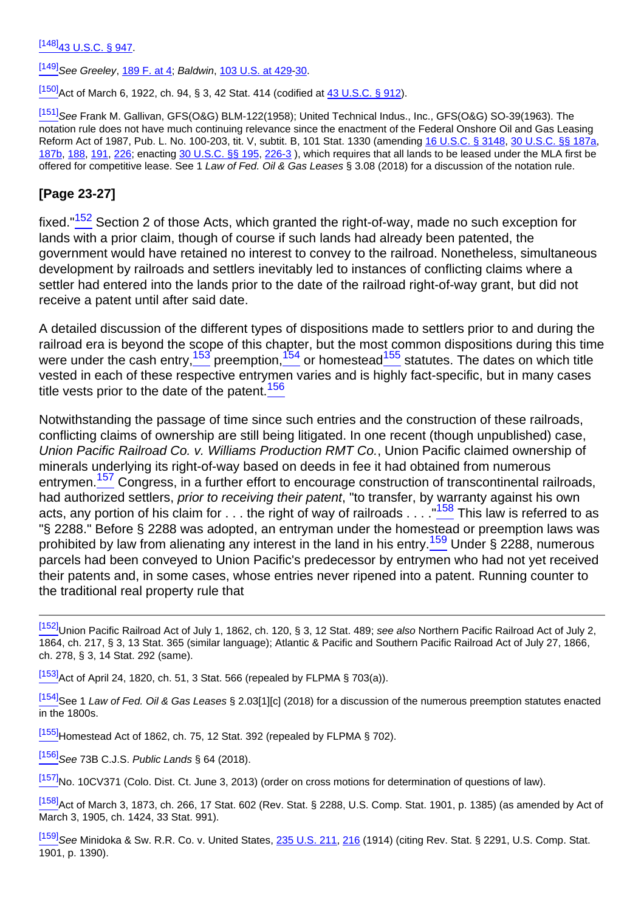$[148]$ <sub>43</sub> U.S.C. § 947.

[\[149\]](#page-19-4) See Greeley, [189 F. at 4;](http://links.casemakerlegal.com/books/Case_Law/results?ci=45ampsearch[Cite]=189+F.+4#page4ampfn=Vol%2064%20Rocky%20Mt.%20Min.%20L.%20Inst.%20(2018)) Baldwin, [103 U.S. at 429-](http://links.casemakerlegal.com/books/Case_Law/results?ci=45ampsearch[Cite]=103+U.S.+429#page429ampfn=Vol%2064%20Rocky%20Mt.%20Min.%20L.%20Inst.%20(2018))[30.](http://links.casemakerlegal.com/books/Case_Law/results?ci=45ampsearch[Cite]=103+U.S.+430#page430ampfn=Vol%2064%20Rocky%20Mt.%20Min.%20L.%20Inst.%20(2018))

[\[150\]](#page-19-5) Act of March 6, 1922, ch. 94, § 3, 42 Stat. 414 (codified at  $\frac{43 \text{ U.S.C.}$  § 912).

[\[151\]](#page-19-6)See Frank M. Gallivan, GFS(O&G) BLM-122(1958); United Technical Indus., Inc., GFS(O&G) SO-39(1963). The notation rule does not have much continuing relevance since the enactment of the Federal Onshore Oil and Gas Leasing Reform Act of 1987, Pub. L. No. 100-203, tit. V, subtit. B, 101 Stat. 1330 (amending [16 U.S.C. § 3148,](http://links.casemakerlegal.com/federal/US/books/United_States_Code/browse?codesec=3148amptitle=16ampci=45ampfn=Vol%2064%20Rocky%20Mt.%20Min.%20L.%20Inst.%20(2018)) [30 U.S.C. §§ 187a,](http://links.casemakerlegal.com/federal/US/books/United_States_Code/browse?codesec=187aamptitle=30ampci=45ampfn=Vol%2064%20Rocky%20Mt.%20Min.%20L.%20Inst.%20(2018)) [187b](http://links.casemakerlegal.com/federal/US/books/United_States_Code/browse?codesec=187bamptitle=30ampci=45ampfn=Vol%2064%20Rocky%20Mt.%20Min.%20L.%20Inst.%20(2018)), [188,](http://links.casemakerlegal.com/federal/US/books/United_States_Code/browse?codesec=188amptitle=30ampci=45ampfn=Vol%2064%20Rocky%20Mt.%20Min.%20L.%20Inst.%20(2018)) [191](http://links.casemakerlegal.com/federal/US/books/United_States_Code/browse?codesec=191amptitle=30ampci=45ampfn=Vol%2064%20Rocky%20Mt.%20Min.%20L.%20Inst.%20(2018)), [226](http://links.casemakerlegal.com/federal/US/books/United_States_Code/browse?codesec=226amptitle=30ampci=45ampfn=Vol%2064%20Rocky%20Mt.%20Min.%20L.%20Inst.%20(2018)); enacting [30 U.S.C. §§ 195](http://links.casemakerlegal.com/federal/US/books/United_States_Code/browse?codesec=195amptitle=30ampci=45ampfn=Vol%2064%20Rocky%20Mt.%20Min.%20L.%20Inst.%20(2018)), [226-3](http://links.casemakerlegal.com/federal/US/books/United_States_Code/browse?codesec=226-3amptitle=30ampci=45ampfn=Vol%2064%20Rocky%20Mt.%20Min.%20L.%20Inst.%20(2018)) ), which requires that all lands to be leased under the MLA first be offered for competitive lease. See 1 Law of Fed. Oil & Gas Leases § 3.08 (2018) for a discussion of the notation rule.

### **[Page 23-27]**

<span id="page-20-0"></span>fixed."<sup>152</sup> Section 2 of those Acts, which granted the right-of-way, made no such exception for lands with a prior claim, though of course if such lands had already been patented, the government would have retained no interest to convey to the railroad. Nonetheless, simultaneous development by railroads and settlers inevitably led to instances of conflicting claims where a settler had entered into the lands prior to the date of the railroad right-of-way grant, but did not receive a patent until after said date.

<span id="page-20-1"></span>A detailed discussion of the different types of dispositions made to settlers prior to and during the railroad era is beyond the scope of this chapter, but the most common dispositions during this time were under the cash entry,  $153$  preemption,  $154$  or homestead  $155$  statutes. The dates on which title vested in each of these respective entrymen varies and is highly fact-specific, but in many cases title vests prior to the date of the patent.  $156$ 

<span id="page-20-4"></span><span id="page-20-3"></span><span id="page-20-2"></span>Notwithstanding the passage of time since such entries and the construction of these railroads, conflicting claims of ownership are still being litigated. In one recent (though unpublished) case, Union Pacific Railroad Co. v. Williams Production RMT Co., Union Pacific claimed ownership of minerals underlying its right-of-way based on deeds in fee it had obtained from numerous entrymen.<sup>157</sup> Congress, in a further effort to encourage construction of transcontinental railroads, had authorized settlers, prior to receiving their patent, "to transfer, by warranty against his own acts, any portion of his claim for . . . the right of way of railroads . . . . "158 This law is referred to as "§ 2288." Before § 2288 was adopted, an entryman under the homestead or preemption laws was prohibited by law from alienating any interest in the land in his entry.<sup>159</sup> Under § 2288, numerous parcels had been conveyed to Union Pacific's predecessor by entrymen who had not yet received their patents and, in some cases, whose entries never ripened into a patent. Running counter to the traditional real property rule that

<span id="page-20-5"></span><sup>[\[152\]](#page-20-0)</sup>Union Pacific Railroad Act of July 1, 1862, ch. 120, § 3, 12 Stat. 489; see also Northern Pacific Railroad Act of July 2, 1864, ch. 217, § 3, 13 Stat. 365 (similar language); Atlantic & Pacific and Southern Pacific Railroad Act of July 27, 1866, ch. 278, § 3, 14 Stat. 292 (same).

 $\frac{[153]}{[153]}$  $\frac{[153]}{[153]}$  $\frac{[153]}{[153]}$  Act of April 24, 1820, ch. 51, 3 Stat. 566 (repealed by FLPMA § 703(a)).

[\[154\]](#page-20-1)See 1 Law of Fed. Oil & Gas Leases § 2.03[1][c] (2018) for a discussion of the numerous preemption statutes enacted in the 1800s.

 $[155]$ Homestead Act of 1862, ch. 75, 12 Stat. 392 (repealed by FLPMA § 702).

 $[156]$ See 73B C.J.S. Public Lands § 64 (2018).

[\[157\]](#page-20-3)No. 10CV371 (Colo. Dist. Ct. June 3, 2013) (order on cross motions for determination of questions of law).

[\[158\]](#page-20-4) Act of March 3, 1873, ch. 266, 17 Stat. 602 (Rev. Stat. § 2288, U.S. Comp. Stat. 1901, p. 1385) (as amended by Act of March 3, 1905, ch. 1424, 33 Stat. 991).

[\[159\]](#page-20-5) See Minidoka & Sw. R.R. Co. v. United States, [235 U.S. 211](http://links.casemakerlegal.com/books/Case_Law/results?ci=45ampsearch[Cite]=235+U.S.+211ampfn=Vol%2064%20Rocky%20Mt.%20Min.%20L.%20Inst.%20(2018)), [216](http://links.casemakerlegal.com/books/Case_Law/results?ci=45ampsearch[Cite]=235+U.S.+216#page216ampfn=Vol%2064%20Rocky%20Mt.%20Min.%20L.%20Inst.%20(2018)) (1914) (citing Rev. Stat. § 2291, U.S. Comp. Stat. 1901, p. 1390).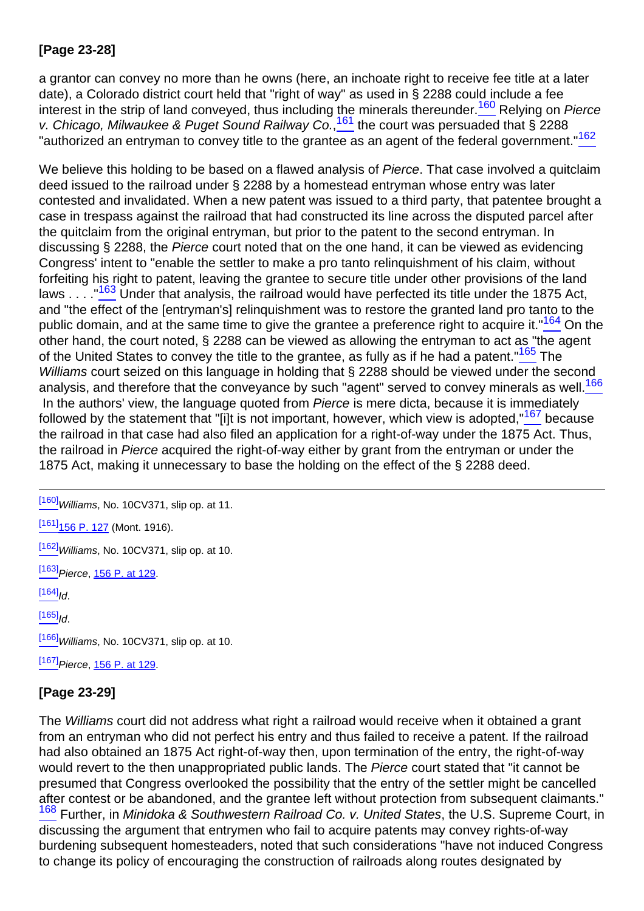# **[Page 23-28]**

<span id="page-21-1"></span><span id="page-21-0"></span>a grantor can convey no more than he owns (here, an inchoate right to receive fee title at a later date), a Colorado district court held that "right of way" as used in § 2288 could include a fee interest in the strip of land conveyed, thus including the minerals thereunder.<sup>160</sup> Relying on Pierce v. Chicago, Milwaukee & Puget Sound Railway Co.,<sup>161</sup> the court was persuaded that § 2288 "authorized an entryman to convey title to the grantee as an agent of the federal government."<sup>162</sup>

<span id="page-21-4"></span><span id="page-21-3"></span><span id="page-21-2"></span>We believe this holding to be based on a flawed analysis of Pierce. That case involved a quitclaim deed issued to the railroad under § 2288 by a homestead entryman whose entry was later contested and invalidated. When a new patent was issued to a third party, that patentee brought a case in trespass against the railroad that had constructed its line across the disputed parcel after the quitclaim from the original entryman, but prior to the patent to the second entryman. In discussing § 2288, the Pierce court noted that on the one hand, it can be viewed as evidencing Congress' intent to "enable the settler to make a pro tanto relinquishment of his claim, without forfeiting his right to patent, leaving the grantee to secure title under other provisions of the land laws . . . . <sup>"163</sup> Under that analysis, the railroad would have perfected its title under the 1875 Act, and "the effect of the [entryman's] relinquishment was to restore the granted land pro tanto to the public domain, and at the same time to give the grantee a preference right to acquire it."<sup>164</sup> On the other hand, the court noted, § 2288 can be viewed as allowing the entryman to act as "the agent of the United States to convey the title to the grantee, as fully as if he had a patent."<sup>165</sup> The Williams court seized on this language in holding that § 2288 should be viewed under the second analysis, and therefore that the conveyance by such "agent" served to convey minerals as well.<sup>166</sup> In the authors' view, the language quoted from *Pierce* is mere dicta, because it is immediately followed by the statement that "[i]t is not important, however, which view is adopted,  $167$  because the railroad in that case had also filed an application for a right-of-way under the 1875 Act. Thus, the railroad in Pierce acquired the right-of-way either by grant from the entryman or under the 1875 Act, making it unnecessary to base the holding on the effect of the § 2288 deed.

<span id="page-21-7"></span><span id="page-21-6"></span><span id="page-21-5"></span> $[160]$  Williams, No. 10CV371, slip op. at 11.

 $[161]$ <sub>156</sub> P. 127 (Mont. 1916).

 $[162]$ Williams, No. 10CV371, slip op. at 10.

[\[163\]](#page-21-3) Pierce, [156 P. at 129.](http://links.casemakerlegal.com/books/Case_Law/results?ci=45ampsearch[Cite]=156+P.+129#page129ampfn=Vol%2064%20Rocky%20Mt.%20Min.%20L.%20Inst.%20(2018))

 $[164]$ <sub>Id</sub>

 $[165]$ <sub>Id.</sub>

 $\frac{[166]}{[166]}$  $\frac{[166]}{[166]}$  $\frac{[166]}{[166]}$ Williams, No. 10CV371, slip op. at 10.

 $[167]$ Pierce, [156 P. at 129.](http://links.casemakerlegal.com/books/Case_Law/results?ci=45ampsearch[Cite]=156+P.+129#page129ampfn=Vol%2064%20Rocky%20Mt.%20Min.%20L.%20Inst.%20(2018))

# **[Page 23-29]**

<span id="page-21-9"></span><span id="page-21-8"></span>The Williams court did not address what right a railroad would receive when it obtained a grant from an entryman who did not perfect his entry and thus failed to receive a patent. If the railroad had also obtained an 1875 Act right-of-way then, upon termination of the entry, the right-of-way would revert to the then unappropriated public lands. The Pierce court stated that "it cannot be presumed that Congress overlooked the possibility that the entry of the settler might be cancelled after contest or be abandoned, and the grantee left without protection from subsequent claimants." 168 Further, in Minidoka & Southwestern Railroad Co. v. United States, the U.S. Supreme Court, in discussing the argument that entrymen who fail to acquire patents may convey rights-of-way burdening subsequent homesteaders, noted that such considerations "have not induced Congress to change its policy of encouraging the construction of railroads along routes designated by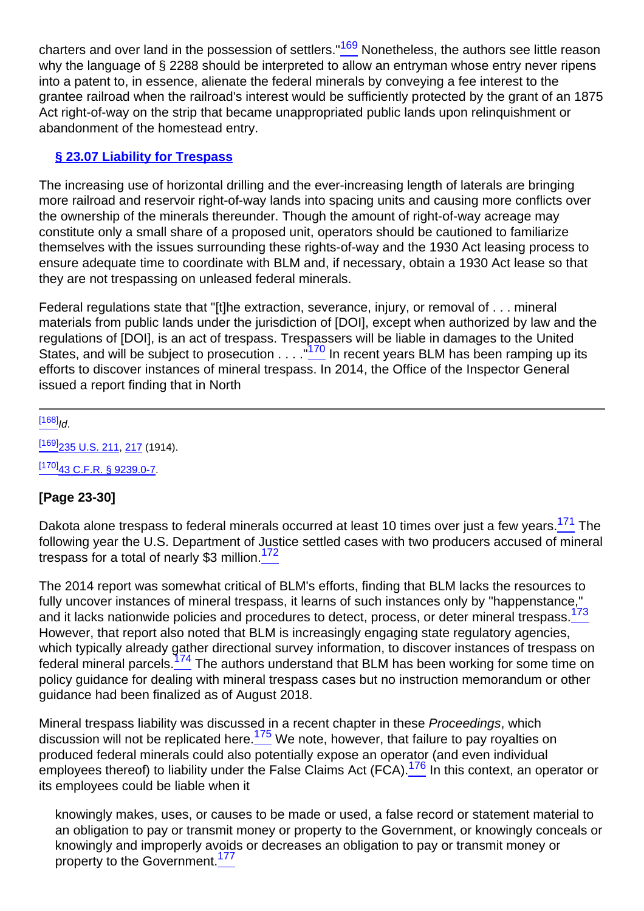charters and over land in the possession of settlers."<sup>169</sup> Nonetheless, the authors see little reason why the language of § 2288 should be interpreted to allow an entryman whose entry never ripens into a patent to, in essence, alienate the federal minerals by conveying a fee interest to the grantee railroad when the railroad's interest would be sufficiently protected by the grant of an 1875 Act right-of-way on the strip that became unappropriated public lands upon relinquishment or abandonment of the homestead entry.

# **§ 23.07 Liability for Trespass**

The increasing use of horizontal drilling and the ever-increasing length of laterals are bringing more railroad and reservoir right-of-way lands into spacing units and causing more conflicts over the ownership of the minerals thereunder. Though the amount of right-of-way acreage may constitute only a small share of a proposed unit, operators should be cautioned to familiarize themselves with the issues surrounding these rights-of-way and the 1930 Act leasing process to ensure adequate time to coordinate with BLM and, if necessary, obtain a 1930 Act lease so that they are not trespassing on unleased federal minerals.

<span id="page-22-0"></span>Federal regulations state that "[t]he extraction, severance, injury, or removal of . . . mineral materials from public lands under the jurisdiction of [DOI], except when authorized by law and the regulations of [DOI], is an act of trespass. Trespassers will be liable in damages to the United States, and will be subject to prosecution  $\ldots$ . ...<sup>170</sup> In recent years BLM has been ramping up its efforts to discover instances of mineral trespass. In 2014, the Office of the Inspector General issued a report finding that in North

#### $[168]$ <sub>Id.</sub>

[\[169\]](#page-21-9)<sub>235</sub> U.S. 211, [217](http://links.casemakerlegal.com/books/Case_Law/results?ci=45ampsearch[Cite]=235+U.S.+217#page217ampfn=Vol%2064%20Rocky%20Mt.%20Min.%20L.%20Inst.%20(2018)) (1914).  $[170]$ [43 C.F.R. § 9239.0-7.](http://links.casemakerlegal.com/federal/US/books/Code_of_Federal_Regulations/browse?codesec=9239.0-7amptitle=43ampci=45ampfn=Vol%2064%20Rocky%20Mt.%20Min.%20L.%20Inst.%20(2018))

### **[Page 23-30]**

<span id="page-22-2"></span><span id="page-22-1"></span>Dakota alone trespass to federal minerals occurred at least 10 times over just a few years.<sup>171</sup> The following year the U.S. Department of Justice settled cases with two producers accused of mineral trespass for a total of nearly \$3 million.<sup>172</sup>

<span id="page-22-4"></span><span id="page-22-3"></span>The 2014 report was somewhat critical of BLM's efforts, finding that BLM lacks the resources to fully uncover instances of mineral trespass, it learns of such instances only by "happenstance," and it lacks nationwide policies and procedures to detect, process, or deter mineral trespass.<sup>173</sup> However, that report also noted that BLM is increasingly engaging state regulatory agencies, which typically already gather directional survey information, to discover instances of trespass on federal mineral parcels.<sup>174</sup> The authors understand that BLM has been working for some time on policy guidance for dealing with mineral trespass cases but no instruction memorandum or other guidance had been finalized as of August 2018.

<span id="page-22-6"></span><span id="page-22-5"></span>Mineral trespass liability was discussed in a recent chapter in these Proceedings, which discussion will not be replicated here.<sup>175</sup> We note, however, that failure to pay royalties on produced federal minerals could also potentially expose an operator (and even individual employees thereof) to liability under the False Claims Act (FCA).<sup>176</sup> In this context, an operator or its employees could be liable when it

<span id="page-22-7"></span>knowingly makes, uses, or causes to be made or used, a false record or statement material to an obligation to pay or transmit money or property to the Government, or knowingly conceals or knowingly and improperly avoids or decreases an obligation to pay or transmit money or property to the Government.<sup>177</sup>